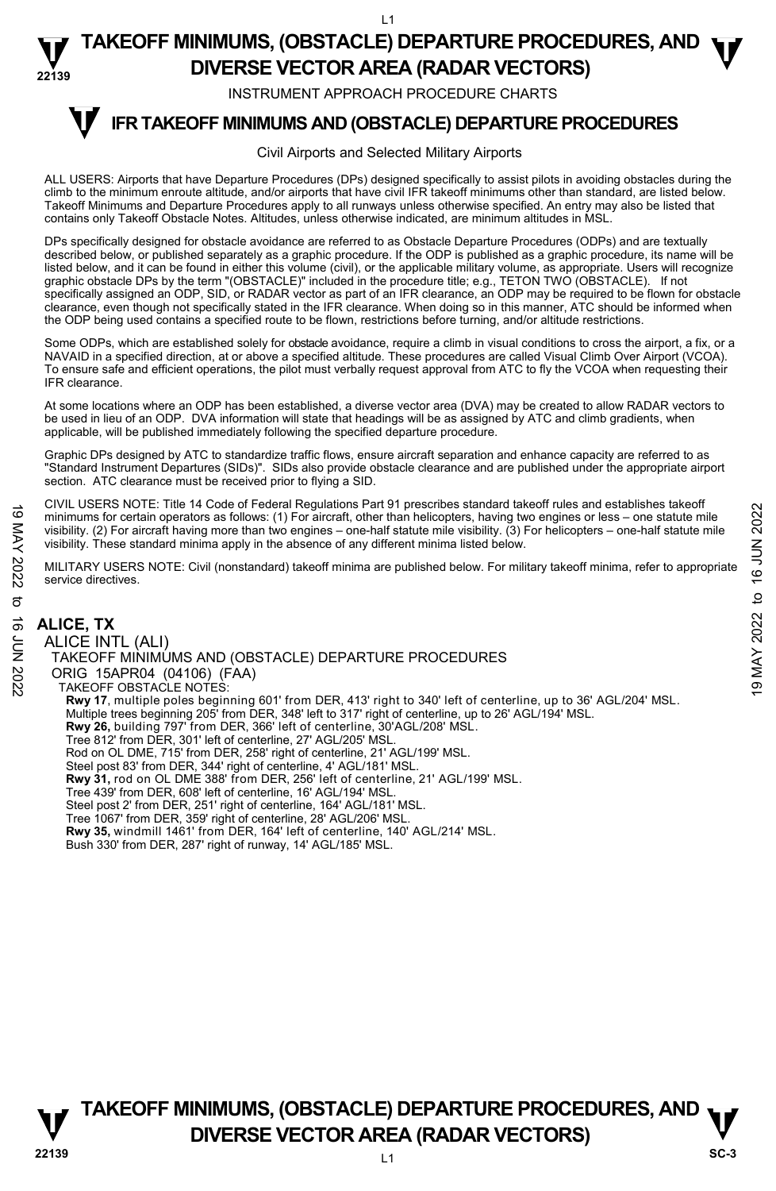$\overline{11}$ 

### **22139 TAKEOFF MINIMUMS, (OBSTACLE) DEPARTURE PROCEDURES, AND**  $\Psi$ **DIVERSE VECTOR AREA (RADAR VECTORS)**

INSTRUMENT APPROACH PROCEDURE CHARTS

#### **IFR TAKEOFF MINIMUMS AND (OBSTACLE) DEPARTURE PROCEDURES T**

### Civil Airports and Selected Military Airports

ALL USERS: Airports that have Departure Procedures (DPs) designed specifically to assist pilots in avoiding obstacles during the climb to the minimum enroute altitude, and/or airports that have civil IFR takeoff minimums other than standard, are listed below. Takeoff Minimums and Departure Procedures apply to all runways unless otherwise specified. An entry may also be listed that contains only Takeoff Obstacle Notes. Altitudes, unless otherwise indicated, are minimum altitudes in MSL.

DPs specifically designed for obstacle avoidance are referred to as Obstacle Departure Procedures (ODPs) and are textually described below, or published separately as a graphic procedure. If the ODP is published as a graphic procedure, its name will be listed below, and it can be found in either this volume (civil), or the applicable military volume, as appropriate. Users will recognize graphic obstacle DPs by the term "(OBSTACLE)" included in the procedure title; e.g., TETON TWO (OBSTACLE). If not specifically assigned an ODP, SID, or RADAR vector as part of an IFR clearance, an ODP may be required to be flown for obstacle clearance, even though not specifically stated in the IFR clearance. When doing so in this manner, ATC should be informed when the ODP being used contains a specified route to be flown, restrictions before turning, and/or altitude restrictions.

Some ODPs, which are established solely for obstacle avoidance, require a climb in visual conditions to cross the airport, a fix, or a NAVAID in a specified direction, at or above a specified altitude. These procedures are called Visual Climb Over Airport (VCOA). To ensure safe and efficient operations, the pilot must verbally request approval from ATC to fly the VCOA when requesting their IFR clearance.

At some locations where an ODP has been established, a diverse vector area (DVA) may be created to allow RADAR vectors to be used in lieu of an ODP. DVA information will state that headings will be as assigned by ATC and climb gradients, when applicable, will be published immediately following the specified departure procedure.

Graphic DPs designed by ATC to standardize traffic flows, ensure aircraft separation and enhance capacity are referred to as "Standard Instrument Departures (SIDs)". SIDs also provide obstacle clearance and are published under the appropriate airport section. ATC clearance must be received prior to flying a SID.

CIVIL USERS NOTE: Title 14 Code of Federal Regulations Part 91 prescribes standard takeoff rules and establishes takeoff minimums for certain operators as follows: (1) For aircraft, other than helicopters, having two engines or less – one statute mile visibility. (2) For aircraft having more than two engines – one-half statute mile visibility. (3) For helicopters – one-half statute mile visibility. These standard minima apply in the absence of any different minima listed below.

MILITARY USERS NOTE: Civil (nonstandard) takeoff minima are published below. For military takeoff minima, refer to appropriate service directives.

# **ALICE, TX**

ALICE INTL (ALI) TAKEOFF MINIMUMS AND (OBSTACLE) DEPARTURE PROCEDURES ORIG 15APR04 (04106) (FAA) TAKEOFF OBSTACLE NOTES: **Rwy 17**, multiple poles beginning 601' from DER, 413' right to 340' left of centerline, up to 36' AGL/204' MSL.<br>Multiple trees beginning 205' from DER, 348' left to 317' right of centerline, up to 26' AGL/194' MSL. **Rwy 26,** building 797' from DER, 366' left of centerline, 30'AGL/208' MSL. Tree 812' from DER, 301' left of centerline, 27' AGL/205' MSL. Rod on OL DME, 715' from DER, 258' right of centerline, 21' AGL/199' MSL. Steel post 83' from DER, 344' right of centerline, 4' AGL/181' MSL. **Rwy 31,** rod on OL DME 388' from DER, 256' left of centerline, 21' AGL/199' MSL. Tree 439' from DER, 608' left of centerline, 16' AGL/194' MSL. Steel post 2' from DER, 251' right of centerline, 164' AGL/181' MSL. Tree 1067' from DER, 359' right of centerline, 28' AGL/206' MSL. **Rwy 35,** windmill 1461' from DER, 164' left of centerline, 140' AGL/214' MSL. Bush 330' from DER, 287' right of runway, 14' AGL/185' MSL. The CONFRIDE TIME HE COLOR TO THE HE COLOR TO THE THE COLOR TO THE COLOR TO THE COLOR TO THE COLOR TO THE COLOR TO THE COLOR TO THE COLOR TO THE COLOR TO THE COLOR TO THE COLOR TO THE COLOR TO THE COLOR TO THE COLOR TO T

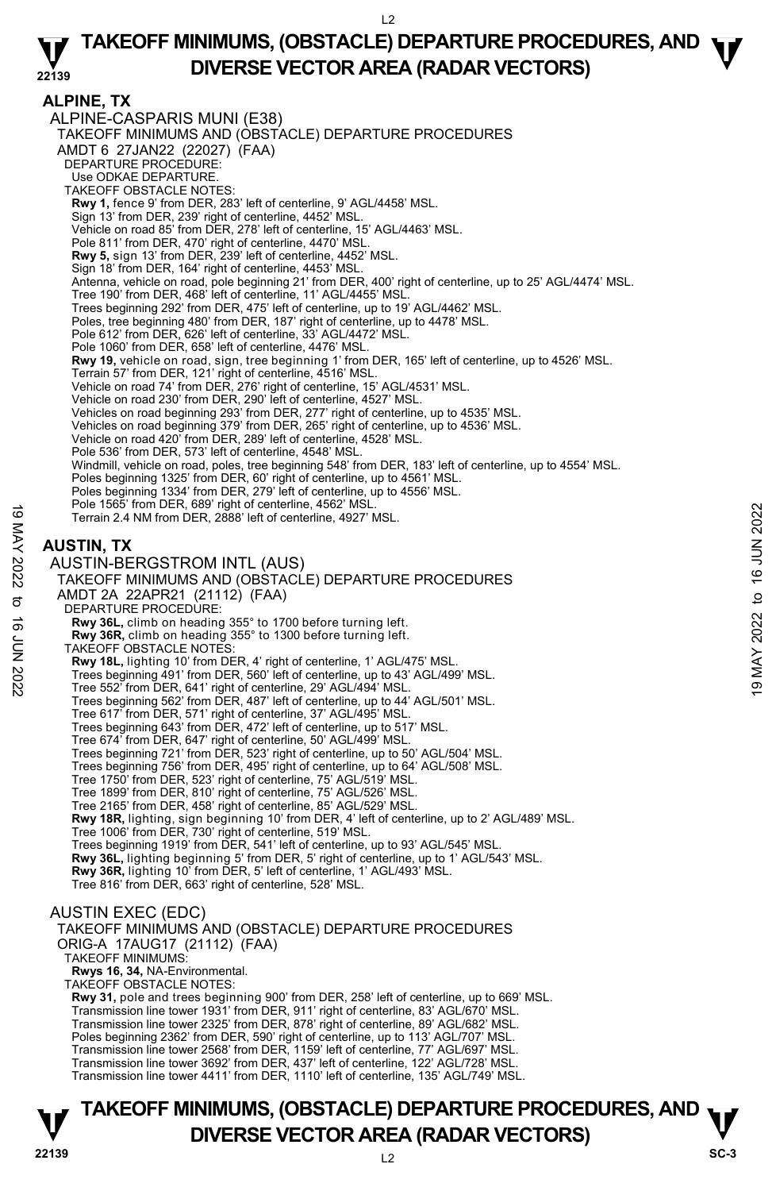$L<sub>2</sub>$ 

### **22139 TAKEOFF MINIMUMS, (OBSTACLE) DEPARTURE PROCEDURES, AND**  $\Psi$ **DIVERSE VECTOR AREA (RADAR VECTORS)**

### **ALPINE, TX**

ALPINE-CASPARIS MUNI (E38) TAKEOFF MINIMUMS AND (OBSTACLE) DEPARTURE PROCEDURES AMDT 6 27JAN22 (22027) (FAA) DEPARTURE PROCEDURE: Use ODKAE DEPARTURE. TAKEOFF OBSTACLE NOTES: **Rwy 1,** fence 9' from DER, 283' left of centerline, 9' AGL/4458' MSL. Sign 13' from DER, 239' right of centerline, 4452' MSL. Vehicle on road 85' from DER, 278' left of centerline, 15' AGL/4463' MSL. Pole 811' from DER, 470' right of centerline, 4470' MSL. **Rwy 5,** sign 13' from DER, 239' left of centerline, 4452' MSL. Sign 18' from DER, 164' right of centerline, 4453' MSL. Antenna, vehicle on road, pole beginning 21' from DER, 400' right of centerline, up to 25' AGL/4474' MSL. Tree 190' from DER, 468' left of centerline, 11' AGL/4455' MSL Trees beginning 292' from DER, 475' left of centerline, up to 19' AGL/4462' MSL. Poles, tree beginning 480' from DER, 187' right of centerline, up to 4478' MSL. Pole 612' from DER, 626' left of centerline, 33' AGL/4472' MSL. Pole 1060' from DER, 658' left of centerline, 4476' MSL. **Rwy 19,** vehicle on road, sign, tree beginning 1' from DER, 165' left of centerline, up to 4526' MSL.<br>Terrain 57' from DER, 121' right of centerline, 4516' MSL. Vehicle on road 74' from DER, 276' right of centerline, 15' AGL/4531' MSL. Vehicle on road 230' from DER, 290' left of centerline, 4527' MSL. Vehicles on road beginning 293' from DER, 277' right of centerline, up to 4535' MSL.<br>Vehicles on road beginning 379' from DER, 265' right of centerline, up to 4536' MSL. Vehicle on road 420' from DER, 289' left of centerline, 4528' MSL. Pole 536' from DER, 573' left of centerline, 4548' MSL. Windmill, vehicle on road, poles, tree beginning 548' from DER, 183' left of centerline, up to 4554' MSL. Poles beginning 1325' from DER, 60' right of centerline, up to 4561' MSL. Poles beginning 1334' from DER, 279' left of centerline, up to 4556' MSL. Pole 1565' from DER, 689' right of centerline, 4562' MSL. Terrain 2.4 NM from DER, 2888' left of centerline, 4927' MSL. **AUSTIN, TX**  AUSTIN-BERGSTROM INTL (AUS) TAKEOFF MINIMUMS AND (OBSTACLE) DEPARTURE PROCEDURES AMDT 2A 22APR21 (21112) (FAA) DEPARTURE PROCEDURE: **Rwy 36L,** climb on heading 355° to 1700 before turning left. **Rwy 36R,** climb on heading 355° to 1300 before turning left. TAKEOFF OBSTACLE NOTES: **Rwy 18L,** lighting 10' from DER, 4' right of centerline, 1' AGL/475' MSL. Trees beginning 491' from DER, 560' left of centerline, up to 43' AGL/499' MSL. Tree 552' from DER, 641' right of centerline, 29' AGL/494' MSL. Trees beginning 562' from DER, 487' left of centerline, up to 44' AGL/501' MSL. Tree 617' from DER, 571' right of centerline, 37' AGL/495' MSL. Trees beginning 643' from DER, 472' left of centerline, up to 517' MSL. Tree 674' from DER, 647' right of centerline, 50' AGL/499' MSL. Trees beginning 721' from DER, 523' right of centerline, up to 50' AGL/504' MSL. Trees beginning 756' from DER, 495' right of centerline, up to 64' AGL/508' MSL. Tree 1750' from DER, 523' right of centerline, 75' AGL/519' MSL. Tree 1899' from DER, 810' right of centerline, 75' AGL/526' MSL. Tree 2165' from DER, 458' right of centerline, 85' AGL/529' MSL. **Rwy 18R,** lighting, sign beginning 10' from DER, 4' left of centerline, up to 2' AGL/489' MSL. Tree 1006' from DER, 730' right of centerline, 519' MSL. Trees beginning 1919' from DER, 541' left of centerline, up to 93' AGL/545' MSL **Rwy 36L,** lighting beginning 5' from DER, 5' right of centerline, up to 1' AGL/543' MSL. **Rwy 36R,** lighting 10' from DER, 5' left of centerline, 1' AGL/493' MSL. Tree 816' from DER, 663' right of centerline, 528' MSL. AUSTIN EXEC (EDC) TAKEOFF MINIMUMS AND (OBSTACLE) DEPARTURE PROCEDURES ORIG-A 17AUG17 (21112) (FAA) TAKEOFF MINIMUMS: Terrain 2.4 MM from DER, 2888 left of centerline, 4302 MSL.<br>
NOSTIN, TX<br>
AUSTIN, TX<br>
AUSTIN, TX<br>
AUSTIN, TX<br>
AUSTIN, TX<br>
AUSTIN, TX<br>
AUSTIN, TX<br>
AUSTIN, TX<br>
AUSTIN, TX<br>
AUSTIN, TX<br>
AUSTIN, TX<br>
AUSTIN, TX<br>
AUSTIN, TX<br>
AUST

**Rwys 16, 34,** NA-Environmental.

TAKEOFF OBSTACLE NOTES:

**Rwy 31,** pole and trees beginning 900' from DER, 258' left of centerline, up to 669' MSL. Transmission line tower 1931' from DER, 911' right of centerline, 83' AGL/670' MSL. Transmission line tower 2325' from DER, 878' right of centerline, 89' AGL/682' MSL. Poles beginning 2362' from DER, 590' right of centerline, up to 113' AGL/707' MSL. Transmission line tower 2568' from DER, 1159' left of centerline, 77' AGL/697' MSL. Transmission line tower 3692' from DER, 437' left of centerline, 122' AGL/728' MSL. Transmission line tower 4411' from DER, 1110' left of centerline, 135' AGL/749' MSL.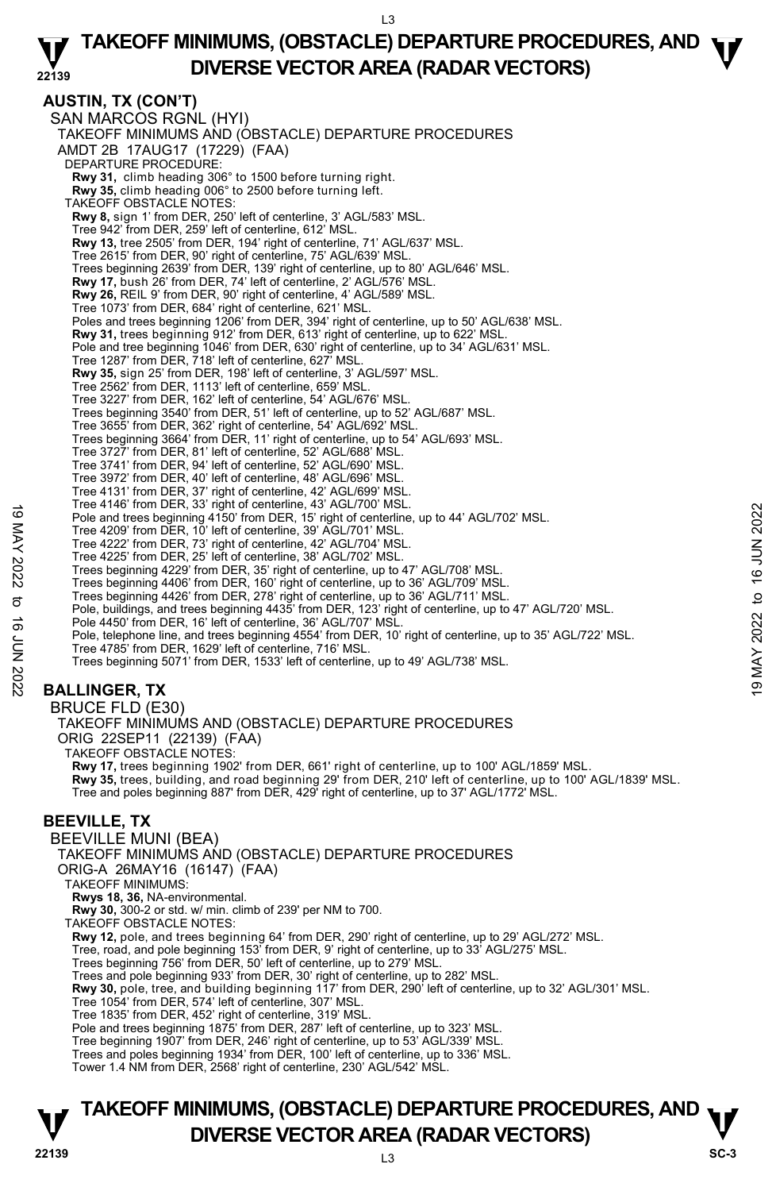### **22139 TAKEOFF MINIMUMS, (OBSTACLE) DEPARTURE PROCEDURES, AND**  $\Psi$ **DIVERSE VECTOR AREA (RADAR VECTORS)**

**AUSTIN, TX (CON'T)**  SAN MARCOS RGNL (HYI) TAKEOFF MINIMUMS AND (OBSTACLE) DEPARTURE PROCEDURES AMDT 2B 17AUG17 (17229) (FAA) DEPARTURE PROCEDURE: **Rwy 31,** climb heading 306° to 1500 before turning right. **Rwy 35,** climb heading 006° to 2500 before turning left. TAKEOFF OBSTACLE NOTES: **Rwy 8,** sign 1' from DER, 250' left of centerline, 3' AGL/583' MSL. Tree 942' from DER, 259' left of centerline, 612' MSL. **Rwy 13,** tree 2505' from DER, 194' right of centerline, 71' AGL/637' MSL. Tree 2615' from DER, 90' right of centerline, 75' AGL/639' MSL. Trees beginning 2639' from DER, 139' right of centerline, up to 80' AGL/646' MSL. **Rwy 17,** bush 26' from DER, 74' left of centerline, 2' AGL/576' MSL. **Rwy 26,** REIL 9' from DER, 90' right of centerline, 4' AGL/589' MSL. Tree 1073' from DER, 684' right of centerline, 621' MSL. Poles and trees beginning 1206' from DER, 394' right of centerline, up to 50' AGL/638' MSL. **Rwy 31,** trees beginning 912' from DER, 613' right of centerline, up to 622' MSL. Pole and tree beginning 1046' from DER, 630' right of centerline, up to 34' AGL/631' MSL. Tree 1287' from DER, 718' left of centerline, 627' MSL. **Rwy 35,** sign 25' from DER, 198' left of centerline, 3' AGL/597' MSL. Tree 2562' from DER, 1113' left of centerline, 659' MSL. Tree 3227' from DER, 162' left of centerline, 54' AGL/676' MSL. Trees beginning 3540' from DER, 51' left of centerline, up to 52' AGL/687' MSL. Tree 3655' from DER, 362' right of centerline, 54' AGL/692' MSL. Trees beginning 3664' from DER, 11' right of centerline, up to 54' AGL/693' MSL. Tree 3727' from DER, 81' left of centerline, 52' AGL/688' MSL. Tree 3741' from DER, 94' left of centerline, 52' AGL/690' MSL. Tree 3972' from DER, 40' left of centerline, 48' AGL/696' MSL. Tree 4131' from DER, 37' right of centerline, 42' AGL/699' MSL. Tree 4146' from DER, 33' right of centerline, 43' AGL/700' MSL. Pole and trees beginning 4150' from DER, 15' right of centerline, up to 44' AGL/702' MSL. Tree 4209' from DER, 10' left of centerline, 39' AGL/701' MSL. Tree 4222' from DER, 73' right of centerline, 42' AGL/704' MSL. Tree 4225' from DER, 25' left of centerline, 38' AGL/702' MSL. Trees beginning 4229' from DER, 35' right of centerline, up to 47' AGL/708' MSL. Trees beginning 4406' from DER, 160' right of centerline, up to 36' AGL/709' MSL. Trees beginning 4426' from DER, 278' right of centerline, up to 36' AGL/711' MSL. Pole, buildings, and trees beginning 4435' from DER, 123' right of centerline, up to 47' AGL/720' MSL. Pole 4450' from DER, 16' left of centerline, 36' AGL/707' MSL. Pole, telephone line, and trees beginning 4554' from DER, 10' right of centerline, up to 35' AGL/722' MSL. Tree 4785' from DER, 1629' left of centerline, 716' MSL. Trees beginning 5071' from DER, 1533' left of centerline, up to 49' AGL/738' MSL. **BALLINGER, TX**  BRUCE FLD (E30) TAKEOFF MINIMUMS AND (OBSTACLE) DEPARTURE PROCEDURES 19 The 4146 Unit Deriving 4150' from DER, 15 right of centerline, up to 44' AGL/702' MSL.<br>
Tree 4209' from DER, 150' from DER, 15' right of centerline, up to 44' AGL/702' MSL.<br>
Tree 4222' from DER, 73' right of centerline

ORIG 22SEP11 (22139) (FAA)

TAKEOFF OBSTACLE NOTES:

**Rwy 17,** trees beginning 1902' from DER, 661' right of centerline, up to 100' AGL/1859' MSL.

**Rwy 35,** trees, building, and road beginning 29' from DER, 210' left of centerline, up to 100' AGL/1839' MSL.

Tree and poles beginning 887' from DER, 429' right of centerline, up to 37' AGL/1772' MSL.

# **BEEVILLE, TX**

BEEVILLE MUNI (BEA)

TAKEOFF MINIMUMS AND (OBSTACLE) DEPARTURE PROCEDURES

ORIG-A 26MAY16 (16147) (FAA)

TAKEOFF MINIMUMS:

**Rwys 18, 36,** NA-environmental. **Rwy 30,** 300-2 or std. w/ min. climb of 239' per NM to 700.

TAKEOFF OBSTACLE NOTES:

**Rwy 12,** pole, and trees beginning 64' from DER, 290' right of centerline, up to 29' AGL/272' MSL.<br>Tree, road, and pole beginning 153' from DER, 9' right of centerline, up to 33' AGL/275' MSL.

Trees beginning 756' from DER, 50' left of centerline, up to 279' MSL.

Trees and pole beginning 933' from DER, 30' right of centerline, up to 282' MSL.

**Rwy 30,** pole, tree, and building beginning 117' from DER, 290' left of centerline, up to 32' AGL/301' MSL.

Tree 1054' from DER, 574' left of centerline, 307' MSL.

Tree 1835' from DER, 452' right of centerline, 319' MSL.

Pole and trees beginning 1875' from DER, 287' left of centerline, up to 323' MSL.

Tree beginning 1907' from DER, 246' right of centerline, up to 53' AGL/339' MSL.

Trees and poles beginning 1934' from DER, 100' left of centerline, up to 336' MSL.

Tower 1.4 NM from DER, 2568' right of centerline, 230' AGL/542' MSL.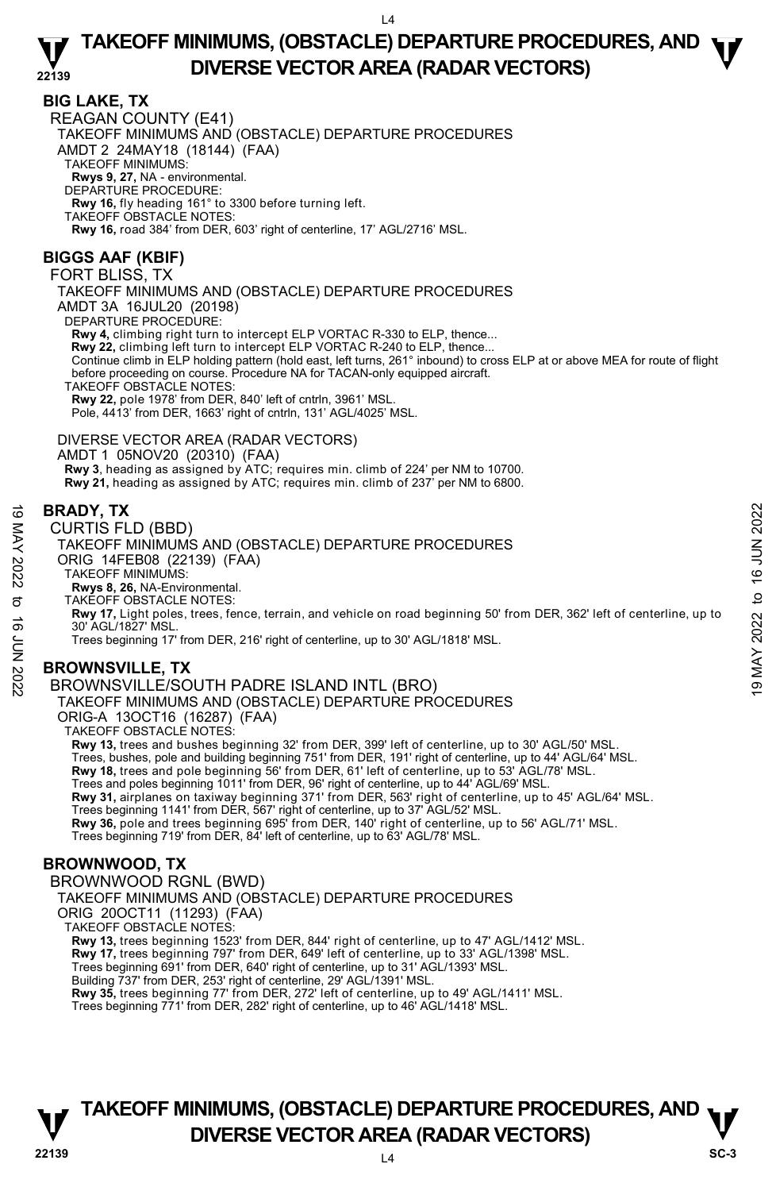### **BIG LAKE, TX**

REAGAN COUNTY (E41) TAKEOFF MINIMUMS AND (OBSTACLE) DEPARTURE PROCEDURES AMDT 2 24MAY18 (18144) (FAA) TAKEOFF MINIMUMS: **Rwys 9, 27,** NA - environmental. DEPARTURE PROCEDURE: **Rwy 16,** fly heading 161° to 3300 before turning left. TAKEOFF OBSTACLE NOTES: **Rwy 16,** road 384' from DER, 603' right of centerline, 17' AGL/2716' MSL.

# **BIGGS AAF (KBIF)**

FORT BLISS, TX

TAKEOFF MINIMUMS AND (OBSTACLE) DEPARTURE PROCEDURES AMDT 3A 16JUL20 (20198)

DEPARTURE PROCEDURE:

**Rwy 4,** climbing right turn to intercept ELP VORTAC R-330 to ELP, thence...

**Rwy 22,** climbing left turn to intercept ELP VORTAC R-240 to ELP, thence...

Continue climb in ELP holding pattern (hold east, left turns, 261° inbound) to cross ELP at or above MEA for route of flight<br>before proceeding on course. Procedure NA for TACAN-only equipped aircraft.

TAKEOFF OBSTACLE NOTES:

**Rwy 22,** pole 1978' from DER, 840' left of cntrln, 3961' MSL.

Pole, 4413' from DER, 1663' right of cntrln, 131' AGL/4025' MSL.

DIVERSE VECTOR AREA (RADAR VECTORS) AMDT 1 05NOV20 (20310) (FAA)

Rwy 3, heading as assigned by ATC; requires min. climb of 224' per NM to 10700.

**Rwy 21,** heading as assigned by ATC; requires min. climb of 237' per NM to 6800.

### **BRADY, TX**

### CURTIS FLD (BBD)

TAKEOFF MINIMUMS AND (OBSTACLE) DEPARTURE PROCEDURES ORIG 14FEB08 (22139) (FAA)

TAKEOFF MINIMUMS:

**Rwys 8, 26,** NA-Environmental. TAKEOFF OBSTACLE NOTES:

**Rwy 17,** Light poles, trees, fence, terrain, and vehicle on road beginning 50' from DER, 362' left of centerline, up to 30' AGL/1827' MSL. **BRADY, TX**<br>  $\leq$  CURTIS FLD (BBD)<br>
CURTIS FLD (BBD)<br>
TAKEOFF MINIMUMS AND (OBSTACLE) DEPARTURE PROCEDURES<br>
ORIG 14FEB08 (22139) (FAA)<br>
TAKEOFF MINIMUMS:<br>
TAKEOFF MINIMUMS:<br>
TAKEOFF MINIMUMS:<br>
TAKEOFF MINIMUMS:<br>
TAKEOFF

Trees beginning 17' from DER, 216' right of centerline, up to 30' AGL/1818' MSL.

# **BROWNSVILLE, TX**

BROWNSVILLE/SOUTH PADRE ISLAND INTL (BRO) TAKEOFF MINIMUMS AND (OBSTACLE) DEPARTURE PROCEDURES

ORIG-A 13OCT16 (16287) (FAA)

TAKEOFF OBSTACLE NOTES:

**Rwy 13,** trees and bushes beginning 32' from DER, 399' left of centerline, up to 30' AGL/50' MSL.

Trees, bushes, pole and building beginning 751' from DER, 191' right of centerline, up to 44' AGL/64' MSL.<br>**Rwy 18,** trees and pole beginning 56' from DER, 61' left of centerline, up to 53' AGL/78' MSL.

Trees and poles beginning 1011' from DER, 96' right of centerline, up to 44' AGL/69' MSL.

**Rwy 31,** airplanes on taxiway beginning 371' from DER, 563' right of centerline, up to 45' AGL/64' MSL.

Trees beginning 1141' from DER, 567' right of centerline, up to 37' AGL/52' MSL.<br>**Rwy 36,** pole and trees beginning 695' from DER, 140' right of centerline, up to 56' AGL/71' MSL.

Trees beginning 719' from DER, 84' left of centerline, up to 63' AGL/78' MSL.

# **BROWNWOOD, TX**

BROWNWOOD RGNL (BWD)

TAKEOFF MINIMUMS AND (OBSTACLE) DEPARTURE PROCEDURES

ORIG 20OCT11 (11293) (FAA)

TAKEOFF OBSTACLE NOTES:

**Rwy 13,** trees beginning 1523' from DER, 844' right of centerline, up to 47' AGL/1412' MSL.<br>**Rwy 17,** trees beginning 797' from DER, 649' left of centerline, up to 33' AGL/1398' MSL.

Trees beginning 691' from DER, 640' right of centerline, up to 31' AGL/1393' MSL.

Building 737' from DER, 253' right of centerline, 29' AGL/1391' MSL.

**Rwy 35,** trees beginning 77' from DER, 272' left of centerline, up to 49' AGL/1411' MSL.

Trees beginning 771' from DER, 282' right of centerline, up to 46' AGL/1418' MSL.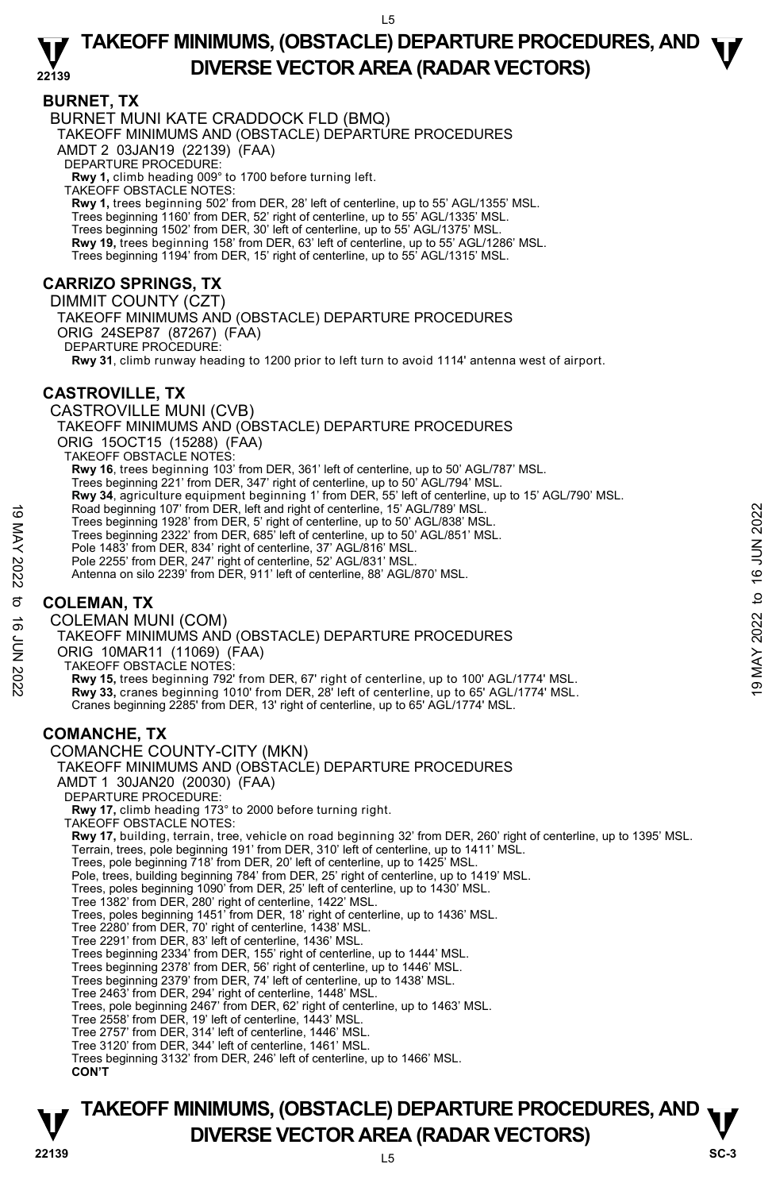### **BURNET, TX**

BURNET MUNI KATE CRADDOCK FLD (BMQ) TAKEOFF MINIMUMS AND (OBSTACLE) DEPARTURE PROCEDURES AMDT 2 03JAN19 (22139) (FAA) DEPARTURE PROCEDURE: **Rwy 1,** climb heading 009° to 1700 before turning left. TAKEOFF OBSTACLE NOTES: **Rwy 1,** trees beginning 502' from DER, 28' left of centerline, up to 55' AGL/1355' MSL. Trees beginning 1160' from DER, 52' right of centerline, up to 55' AGL/1335' MSL. Trees beginning 1502' from DER, 30' left of centerline, up to 55' AGL/1375' MSL. **Rwy 19,** trees beginning 158' from DER, 63' left of centerline, up to 55' AGL/1286' MSL. Trees beginning 1194' from DER, 15' right of centerline, up to 55' AGL/1315' MSL. **CARRIZO SPRINGS, TX**  DIMMIT COUNTY (CZT)

TAKEOFF MINIMUMS AND (OBSTACLE) DEPARTURE PROCEDURES ORIG 24SEP87 (87267) (FAA) DEPARTURE PROCEDURE: **Rwy 31**, climb runway heading to 1200 prior to left turn to avoid 1114' antenna west of airport.

# **CASTROVILLE, TX**

CASTROVILLE MUNI (CVB) TAKEOFF MINIMUMS AND (OBSTACLE) DEPARTURE PROCEDURES ORIG 15OCT15 (15288) (FAA) TAKEOFF OBSTACLE NOTES: **Rwy 16**, trees beginning 103' from DER, 361' left of centerline, up to 50' AGL/787' MSL. Trees beginning 221' from DER, 347' right of centerline, up to 50' AGL/794' MSL. **Rwy 34**, agriculture equipment beginning 1' from DER, 55' left of centerline, up to 15' AGL/790' MSL. Road beginning 107' from DER, left and right of centerline, 15' AGL/789' MSL. Trees beginning 1928' from DER, 5' right of centerline, up to 50' AGL/838' MSL. Trees beginning 2322' from DER, 685' left of centerline, up to 50' AGL/851' MSL. Pole 1483' from DER, 834' right of centerline, 37' AGL/816' MSL. Pole 2255' from DER, 247' right of centerline, 52' AGL/831' MSL. Antenna on silo 2239' from DER, 911' left of centerline, 88' AGL/870' MSL.

# **COLEMAN, TX**

COLEMAN MUNI (COM) TAKEOFF MINIMUMS AND (OBSTACLE) DEPARTURE PROCEDURES ORIG 10MAR11 (11069) (FAA) TAKEOFF OBSTACLE NOTES: **Rwy 15,** trees beginning 792' from DER, 67' right of centerline, up to 100' AGL/1774' MSL. **Rwy 33,** cranes beginning 1010' from DER, 28' left of centerline, up to 65' AGL/1774' MSL. Cranes beginning 2285' from DER, 13' right of centerline, up to 65' AGL/1774' MSL. **COMANCHE, TX**  COMANCHE COUNTY-CITY (MKN) TAKEOFF MINIMUMS AND (OBSTACLE) DEPARTURE PROCEDURES AMDT 1 30JAN20 (20030) (FAA) DEPARTURE PROCEDURE: **Rwy 17,** climb heading 173° to 2000 before turning right. TAKEOFF OBSTACLE NOTES: **Rwy 17,** building, terrain, tree, vehicle on road beginning 32' from DER, 260' right of centerline, up to 1395' MSL. Terrain, trees, pole beginning 191' from DER, 310' left of centerline, up to 1411' MSL. Trees, pole beginning 718' from DER, 20' left of centerline, up to 1425' MSL. Pole, trees, building beginning 784' from DER, 25' right of centerline, up to 1419' MSL. Trees, poles beginning 1090' from DER, 25' left of centerline, up to 1430' MSL. Tree 1382' from DER, 280' right of centerline, 1422' MSL. Trees, poles beginning 1451' from DER, 18' right of centerline, up to 1436' MSL. Tree 2280' from DER, 70' right of centerline, 1438' MSL. Tree 2291' from DER, 83' left of centerline, 1436' MSL. Trees beginning 2334' from DER, 155' right of centerline, up to 1444' MSL. Trees beginning 2378' from DER, 56' right of centerline, up to 1446' MSL. Trees beginning 2379' from DER, 74' left of centerline, up to 1438' MSL. Tree 2463' from DER, 294' right of centerline, 1448' MSL. Trees, pole beginning 2467' from DER, 62' right of centerline, up to 1463' MSL. Tree 2558' from DER, 19' left of centerline, 1443' MSL. Tree 2757' from DER, 314' left of centerline, 1446' MSL. Tree 3120' from DER, 344' left of centerline, 1461' MSL. Trees beginning 3132' from DER, 246' left of centerline, up to 1466' MSL. For Scale beginning 107' from DER, left and right of centerline, 15' AGL/789' MSL.<br>
Trees beginning 1922' from DER, 6' right of centerline, up to 50' AGL/881' MSL.<br>
Trees beginning 2322' from DER, 6' ight of centerline, a

**CON'T**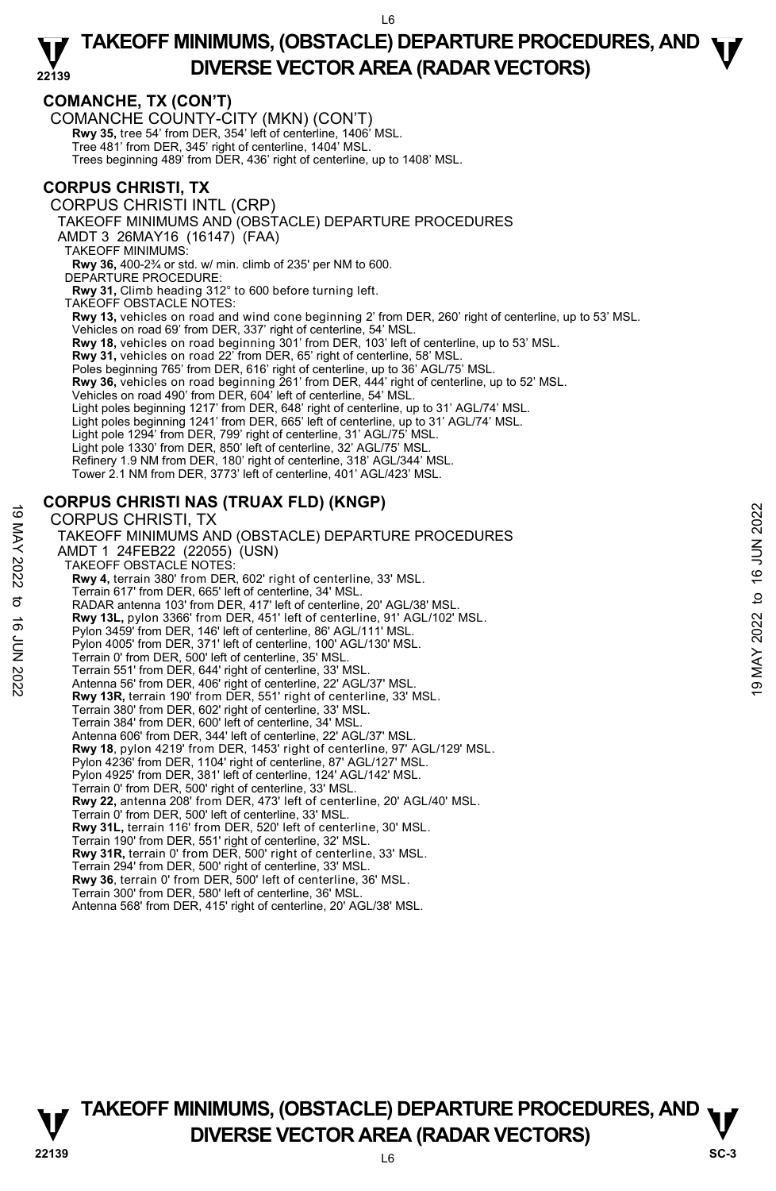## **COMANCHE, TX (CON'T)**

COMANCHE COUNTY-CITY (MKN) (CON'T) **Rwy 35,** tree 54' from DER, 354' left of centerline, 1406' MSL. Tree 481' from DER, 345' right of centerline, 1404' MSL. Trees beginning 489' from DER, 436' right of centerline, up to 1408' MSL.

### **CORPUS CHRISTI, TX**

CORPUS CHRISTI INTL (CRP)

TAKEOFF MINIMUMS AND (OBSTACLE) DEPARTURE PROCEDURES

AMDT 3 26MAY16 (16147) (FAA)

TAKEOFF MINIMUMS:

**Rwy 36,** 400-2¾ or std. w/ min. climb of 235' per NM to 600. DEPARTURE PROCEDURE:

**Rwy 31,** Climb heading 312° to 600 before turning left.

TAKEOFF OBSTACLE NOTES:

**Rwy 13,** vehicles on road and wind cone beginning 2' from DER, 260' right of centerline, up to 53' MSL.

Vehicles on road 69' from DER, 337' right of centerline, 54' MSL.

**Rwy 18,** vehicles on road beginning 301' from DER, 103' left of centerline, up to 53' MSL.

- **Rwy 31,** vehicles on road 22' from DER, 65' right of centerline, 58' MSL.
- Poles beginning 765' from DER, 616' right of centerline, up to 36' AGL/75' MSL.

Rwy 36, vehicles on road beginning 261' from DER, 444' right of centerline, up to 52' MSL.

Vehicles on road 490' from DER, 604' left of centerline, 54' MSL.

Light poles beginning 1217' from DER, 648' right of centerline, up to 31' AGL/74' MSL.

Light poles beginning 1241' from DER, 665' left of centerline, up to 31' AGL/74' MSL.

- Light pole 1294' from DER, 799' right of centerline, 31' AGL/75' MSL.
- Light pole 1330' from DER, 850' left of centerline, 32' AGL/75' MSL.
- Refinery 1.9 NM from DER, 180' right of centerline, 318' AGL/344' MSL.
- Tower 2.1 NM from DER, 3773' left of centerline, 401' AGL/423' MSL.

# **CORPUS CHRISTI NAS (TRUAX FLD) (KNGP)**

CORPUS CHRISTI, TX TAKEOFF MINIMUMS AND (OBSTACLE) DEPARTURE PROCEDURES AMDT 1 24FEB22 (22055) (USN) TAKEOFF OBSTACLE NOTES: **Rwy 4,** terrain 380' from DER, 602' right of centerline, 33' MSL. Terrain 617' from DER, 665' left of centerline, 34' MSL. RADAR antenna 103' from DER, 417' left of centerline, 20' AGL/38' MSL. **Rwy 13L,** pylon 3366' from DER, 451' left of centerline, 91' AGL/102' MSL. Pylon 3459' from DER, 146' left of centerline, 86' AGL/111' MSL. Pylon 4005' from DER, 371' left of centerline, 100' AGL/130' MSL. Terrain 0' from DER, 500' left of centerline, 35' MSL. Terrain 551' from DER, 644' right of centerline, 33' MSL. Antenna 56' from DER, 406' right of centerline, 22' AGL/37' MSL. **Rwy 13R,** terrain 190' from DER, 551' right of centerline, 33' MSL. Terrain 380' from DER, 602' right of centerline, 33' MSL. Terrain 384' from DER, 600' left of centerline, 34' MSL. Antenna 606' from DER, 344' left of centerline, 22' AGL/37' MSL. **Rwy 18**, pylon 4219' from DER, 1453' right of centerline, 97' AGL/129' MSL. Pylon 4236' from DER, 1104' right of centerline, 87' AGL/127' MSL. Pylon 4925' from DER, 381' left of centerline, 124' AGL/142' MSL. Terrain 0' from DER, 500' right of centerline, 33' MSL. **Rwy 22,** antenna 208' from DER, 473' left of centerline, 20' AGL/40' MSL. Terrain 0' from DER, 500' left of centerline, 33' MSL. **Rwy 31L,** terrain 116' from DER, 520' left of centerline, 30' MSL. Terrain 190' from DER, 551' right of centerline, 32' MSL. **Rwy 31R,** terrain 0' from DER, 500' right of centerline, 33' MSL. Terrain 294' from DER, 500' right of centerline, 33' MSL. **Rwy 36**, terrain 0' from DER, 500' left of centerline, 36' MSL. Terrain 300' from DER, 580' left of centerline, 36' MSL. Antenna 568' from DER, 415' right of centerline, 20' AGL/38' MSL. 19 CORPUS CHRISTI, TX<br>
CORPUS CHRISTI, TX<br>
TAKEOFF MINIMUMS AND (OBSTACLE) DEPARTURE PROCEDURES<br>
AMDT 1 24FEB22 (22055) (USN)<br>
TAKEOFF MINIMUMS AND (OBSTACLE) DEPARTURE PROCEDURES<br>
NOW 4, the rain 380° from DER, 602' righ

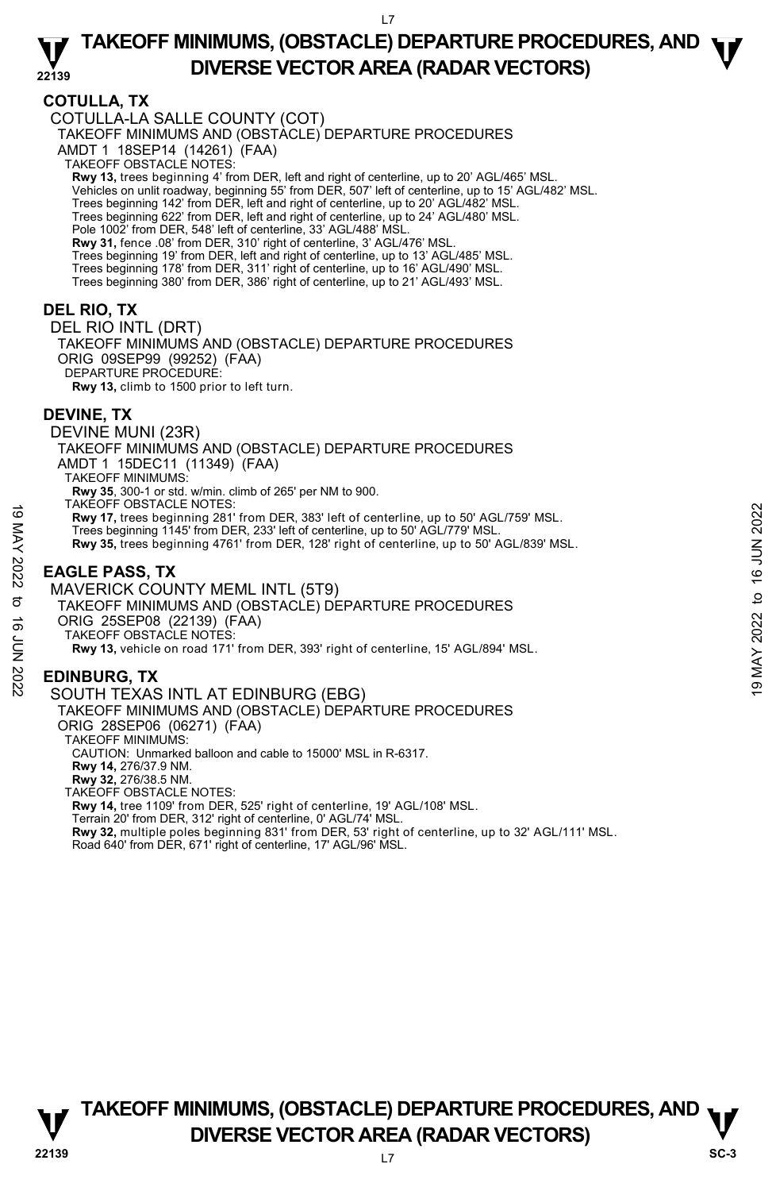# **COTULLA, TX**

COTULLA-LA SALLE COUNTY (COT) TAKEOFF MINIMUMS AND (OBSTACLE) DEPARTURE PROCEDURES AMDT 1 18SEP14 (14261) (FAA) TAKEOFF OBSTACLE NOTES: **Rwy 13,** trees beginning 4' from DER, left and right of centerline, up to 20' AGL/465' MSL.<br>Vehicles on unlit roadway, beginning 55' from DER, 507' left of centerline, up to 15' AGL/482' MSL. Trees beginning 142' from DER, left and right of centerline, up to 20' AGL/482' MSL. Trees beginning 622' from DER, left and right of centerline, up to 24' AGL/480' MSL. Pole 1002' from DER, 548' left of centerline, 33' AGL/488' MS **Rwy 31,** fence .08' from DER, 310' right of centerline, 3' AGL/476' MSL. Trees beginning 19' from DER, left and right of centerline, up to 13' AGL/485' MSL. Trees beginning 178' from DER, 311' right of centerline, up to 16' AGL/490' MSL. Trees beginning 380' from DER, 386' right of centerline, up to 21' AGL/493' MSL. **DEL RIO, TX**  DEL RIO INTL (DRT) TAKEOFF MINIMUMS AND (OBSTACLE) DEPARTURE PROCEDURES ORIG 09SEP99 (99252) (FAA) DEPARTURE PROCEDURE: **Rwy 13,** climb to 1500 prior to left turn. **DEVINE, TX**  DEVINE MUNI (23R) TAKEOFF MINIMUMS AND (OBSTACLE) DEPARTURE PROCEDURES AMDT 1 15DEC11 (11349) (FAA) TAKEOFF MINIMUMS: **Rwy 35**, 300-1 or std. w/min. climb of 265' per NM to 900. TAKEOFF OBSTACLE NOTES: **Rwy 17,** trees beginning 281' from DER, 383' left of centerline, up to 50' AGL/759' MSL. Trees beginning 1145' from DER, 233' left of centerline, up to 50' AGL/779' MSL. **Rwy 35,** trees beginning 4761' from DER, 128' right of centerline, up to 50' AGL/839' MSL. MAVERICK COUNTY MEML INTL (5T9) 19 MATCUT USSIAULE NOTES:<br>
These beginning 281' from DER, 383' left of centerline, up to 50' AGL/759' MSL.<br>
Trees beginning 1145' from DER, 233' left of centerline, up to 50' AGL/839' MSL.<br> **EAGLE PASS, TX**<br>
MAVERICK COUN

# **EAGLE PASS, TX**

TAKEOFF MINIMUMS AND (OBSTACLE) DEPARTURE PROCEDURES ORIG 25SEP08 (22139) (FAA) TAKEOFF OBSTACLE NOTES: **Rwy 13,** vehicle on road 171' from DER, 393' right of centerline, 15' AGL/894' MSL.

# **EDINBURG, TX**

SOUTH TEXAS INTL AT EDINBURG (EBG)

TAKEOFF MINIMUMS AND (OBSTACLE) DEPARTURE PROCEDURES ORIG 28SEP06 (06271) (FAA) TAKEOFF MINIMUMS: CAUTION: Unmarked balloon and cable to 15000' MSL in R-6317. **Rwy 14,** 276/37.9 NM. **Rwy 32,** 276/38.5 NM. TAKEOFF OBSTACLE NOTES: **Rwy 14,** tree 1109' from DER, 525' right of centerline, 19' AGL/108' MSL. Terrain 20' from DER, 312' right of centerline, 0' AGL/74' MSL. **Rwy 32,** multiple poles beginning 831' from DER, 53' right of centerline, up to 32' AGL/111' MSL. Road 640' from DER, 671' right of centerline, 17' AGL/96' MSL.

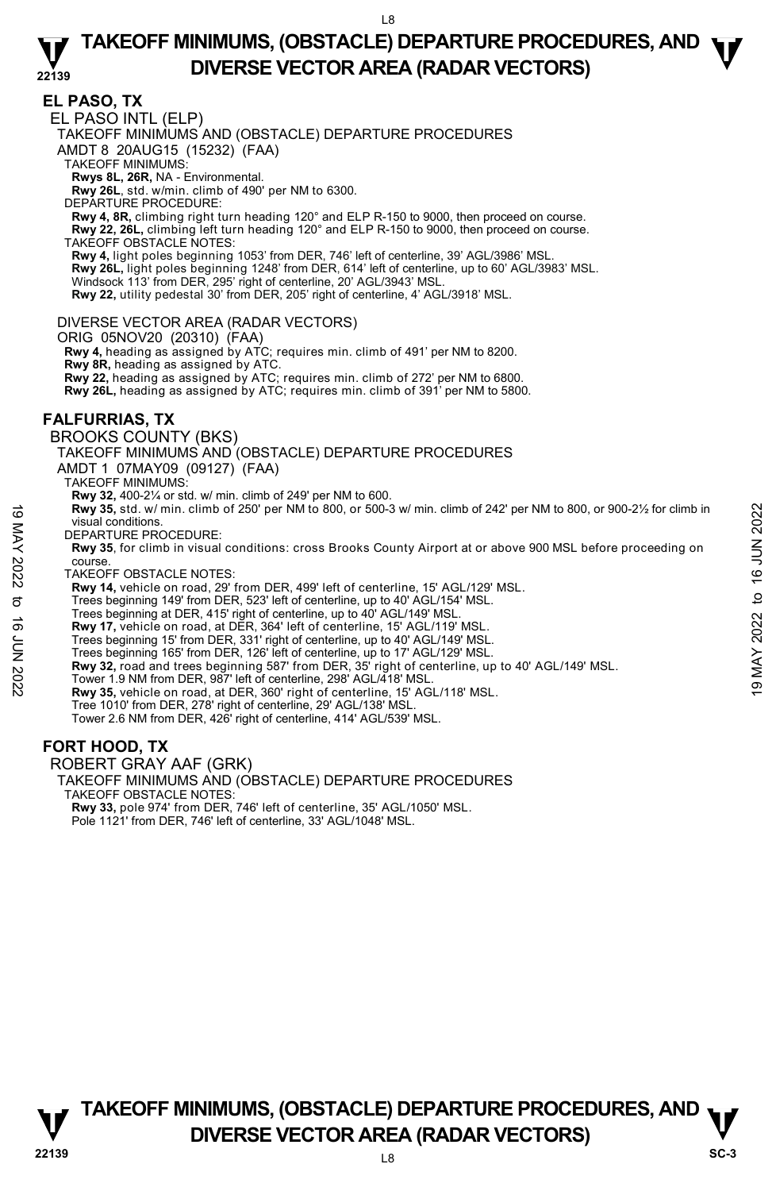**EL PASO, TX**  EL PASO INTL (ELP) TAKEOFF MINIMUMS AND (OBSTACLE) DEPARTURE PROCEDURES AMDT 8 20AUG15 (15232) (FAA) TAKEOFF MINIMUMS: **Rwys 8L, 26R,** NA - Environmental. **Rwy 26L**, std. w/min. climb of 490' per NM to 6300. DEPARTURE PROCEDURE: **Rwy 4, 8R,** climbing right turn heading 120° and ELP R-150 to 9000, then proceed on course. **Rwy 22, 26L,** climbing left turn heading 120° and ELP R-150 to 9000, then proceed on course. TAKEOFF OBSTACLE NOTES: **Rwy 4,** light poles beginning 1053' from DER, 746' left of centerline, 39' AGL/3986' MSL. **Rwy 26L,** light poles beginning 1248' from DER, 614' left of centerline, up to 60' AGL/3983' MSL. Windsock 113' from DER, 295' right of centerline, 20' AGL/3943' MSL. **Rwy 22,** utility pedestal 30' from DER, 205' right of centerline, 4' AGL/3918' MSL. DIVERSE VECTOR AREA (RADAR VECTORS) ORIG 05NOV20 (20310) (FAA) **Rwy 4,** heading as assigned by ATC; requires min. climb of 491' per NM to 8200. **Rwy 8R,** heading as assigned by ATC. **Rwy 22,** heading as assigned by ATC; requires min. climb of 272' per NM to 6800. **Rwy 26L,** heading as assigned by ATC; requires min. climb of 391' per NM to 5800. **FALFURRIAS, TX**  BROOKS COUNTY (BKS) TAKEOFF MINIMUMS AND (OBSTACLE) DEPARTURE PROCEDURES AMDT 1 07MAY09 (09127) (FAA) TAKEOFF MINIMUMS: **Rwy 32,** 400-2¼ or std. w/ min. climb of 249' per NM to 600. **Rwy 35,** std. w/ min. climb of 250' per NM to 800, or 500-3 w/ min. climb of 242' per NM to 800, or 900-2½ for climb in visual conditions. DEPARTURE PROCEDURE: **Rwy 35**, for climb in visual conditions: cross Brooks County Airport at or above 900 MSL before proceeding on course. TAKEOFF OBSTACLE NOTES: **Rwy 14,** vehicle on road, 29' from DER, 499' left of centerline, 15' AGL/129' MSL. Trees beginning 149' from DER, 523' left of centerline, up to 40' AGL/154' MSL. Trees beginning at DER, 415' right of centerline, up to 40' AGL/149' MSL. **Rwy 17,** vehicle on road, at DER, 364' left of centerline, 15' AGL/119' MSL. Trees beginning 15' from DER, 331' right of centerline, up to 40' AGL/149' MSL. Trees beginning 165' from DER, 126' left of centerline, up to 17' AGL/129' MSL. **Rwy 35,** std. w/ min. climb of 250' per NM to 800, or 500-3 w/ min. climb of 242' per NM to 800, or 900-2½ for climb in<br>
Visual conditions:<br>
DEPARTURE PROCEDURE:<br> **Rwy 35**, for climb in visual conditions: cross Brooks Co **Rwy 35,** vehicle on road, at DER, 360' right of centerline, 15' AGL/118' MSL. Tree 1010' from DER, 278' right of centerline, 29' AGL/138' MSL. Tower 2.6 NM from DER, 426' right of centerline, 414' AGL/539' MSL.

### **FORT HOOD, TX**

ROBERT GRAY AAF (GRK)

TAKEOFF MINIMUMS AND (OBSTACLE) DEPARTURE PROCEDURES TAKEOFF OBSTACLE NOTES:

**Rwy 33,** pole 974' from DER, 746' left of centerline, 35' AGL/1050' MSL. Pole 1121' from DER, 746' left of centerline, 33' AGL/1048' MSL.

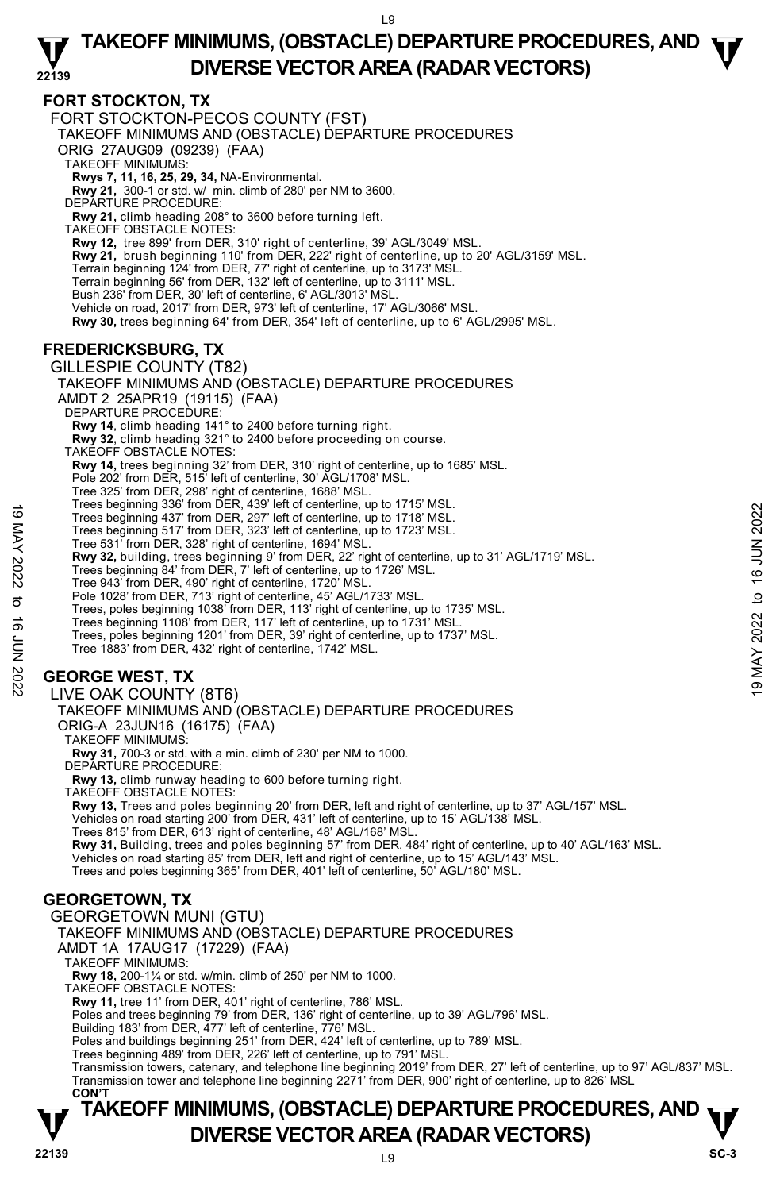### **FORT STOCKTON, TX**

FORT STOCKTON-PECOS COUNTY (FST) TAKEOFF MINIMUMS AND (OBSTACLE) DEPARTURE PROCEDURES ORIG 27AUG09 (09239) (FAA) TAKEOFF MINIMUMS: **Rwys 7, 11, 16, 25, 29, 34,** NA-Environmental. **Rwy 21,** 300-1 or std. w/ min. climb of 280' per NM to 3600. DEPARTURE PROCEDURE: **Rwy 21,** climb heading 208° to 3600 before turning left. TAKEOFF OBSTACLE NOTES: **Rwy 12,** tree 899' from DER, 310' right of centerline, 39' AGL/3049' MSL. **Rwy 21,** brush beginning 110' from DER, 222' right of centerline, up to 20' AGL/3159' MSL. Terrain beginning 124' from DER, 77' right of centerline, up to 3173' MSL. Terrain beginning 56' from DER, 132' left of centerline, up to 3111' MSL. Bush 236' from DER, 30' left of centerline, 6' AGL/3013' MSL. Vehicle on road, 2017' from DER, 973' left of centerline, 17' AGL/3066' MSL. **Rwy 30,** trees beginning 64' from DER, 354' left of centerline, up to 6' AGL/2995' MSL.

# **FREDERICKSBURG, TX**

GILLESPIE COUNTY (T82) TAKEOFF MINIMUMS AND (OBSTACLE) DEPARTURE PROCEDURES AMDT 2 25APR19 (19115) (FAA) DEPARTURE PROCEDURE: **Rwy 14**, climb heading 141° to 2400 before turning right. **Rwy 32**, climb heading 321° to 2400 before proceeding on course. TAKEOFF OBSTACLE NOTES: **Rwy 14,** trees beginning 32' from DER, 310' right of centerline, up to 1685' MSL. Pole 202' from DER, 515' left of centerline, 30' AGL/1708' MSL. Tree 325' from DER, 298' right of centerline, 1688' MSL. Trees beginning 336' from DER, 439' left of centerline, up to 1715' MSL. Trees beginning 437' from DER, 297' left of centerline, up to 1718' MSL. Trees beginning 517' from DER, 323' left of centerline, up to 1723' MSL. Tree 531' from DER, 328' right of centerline, 1694' MSL. **Rwy 32,** building, trees beginning 9' from DER, 22' right of centerline, up to 31' AGL/1719' MSL. Trees beginning 84' from DER, 7' left of centerline, up to 1726' MSL. Tree 943' from DER, 490' right of centerline, 1720' MSL. Pole 1028' from DER, 713' right of centerline, 45' AGL/1733' MSL. Trees, poles beginning 1038' from DER, 113' right of centerline, up to 1735' MSL. Trees beginning 1108' from DER, 117' left of centerline, up to 1731' MSL. Trees, poles beginning 1201' from DER, 39' right of centerline, up to 1737' MSL. Tree 1883' from DER, 432' right of centerline, 1742' MSL. **GEORGE WEST, TX**  LIVE OAK COUNTY (8T6) TAKEOFF MINIMUMS AND (OBSTACLE) DEPARTURE PROCEDURES ORIG-A 23JUN16 (16175) (FAA) TAKEOFF MINIMUMS: **Rwy 31,** 700-3 or std. with a min. climb of 230' per NM to 1000. DEPARTURE PROCEDURE: **Rwy 13,** climb runway heading to 600 before turning right. TAKEOFF OBSTACLE NOTES: **Rwy 13,** Trees and poles beginning 20' from DER, left and right of centerline, up to 37' AGL/157' MSL.<br>Vehicles on road starting 200' from DER, 431' left of centerline, up to 15' AGL/138' MSL. Trees 815' from DER, 613' right of centerline, 48' AGL/168' MSL. **Rwy 31,** Building, trees and poles beginning 57' from DER, 484' right of centerline, up to 40' AGL/163' MSL.<br>Vehicles on road starting 85' from DER, left and right of centerline, up to 15' AGL/143' MSL. Trees and poles beginning 365' from DER, 401' left of centerline, 50' AGL/180' MSL. **GEORGETOWN, TX**  GEORGETOWN MUNI (GTU) TAKEOFF MINIMUMS AND (OBSTACLE) DEPARTURE PROCEDURES AMDT 1A 17AUG17 (17229) (FAA) TAKEOFF MINIMUMS: **Rwy 18,** 200-1¼ or std. w/min. climb of 250' per NM to 1000. TAKEOFF OBSTACLE NOTES: **Rwy 11,** tree 11' from DER, 401' right of centerline, 786' MSL. Poles and trees beginning 79' from DER, 136' right of centerline, up to 39' AGL/796' MSL. Building 183' from DER, 477' left of centerline, 776' MSL. Poles and buildings beginning 251' from DER, 424' left of centerline, up to 789' MSL. Trees beginning 489' from DER, 226' left of centerline, up to 791' MSL. Trees beginning 330 from DER, 297 left of centerline, up to 1718 MSL.<br>
Trees beginning 437 from DER, 297 left of centerline, up to 1718 MSL.<br>
Trees beginning 517 from DER, 323' left of centerline, up to 1723' MSL.<br>
Trees

Transmission towers, catenary, and telephone line beginning 2019' from DER, 27' left of centerline, up to 97' AGL/837' MSL.<br>Transmission tower and telephone line beginning 2271' from DER, 900' right of centerline, up to 82 **CON'T**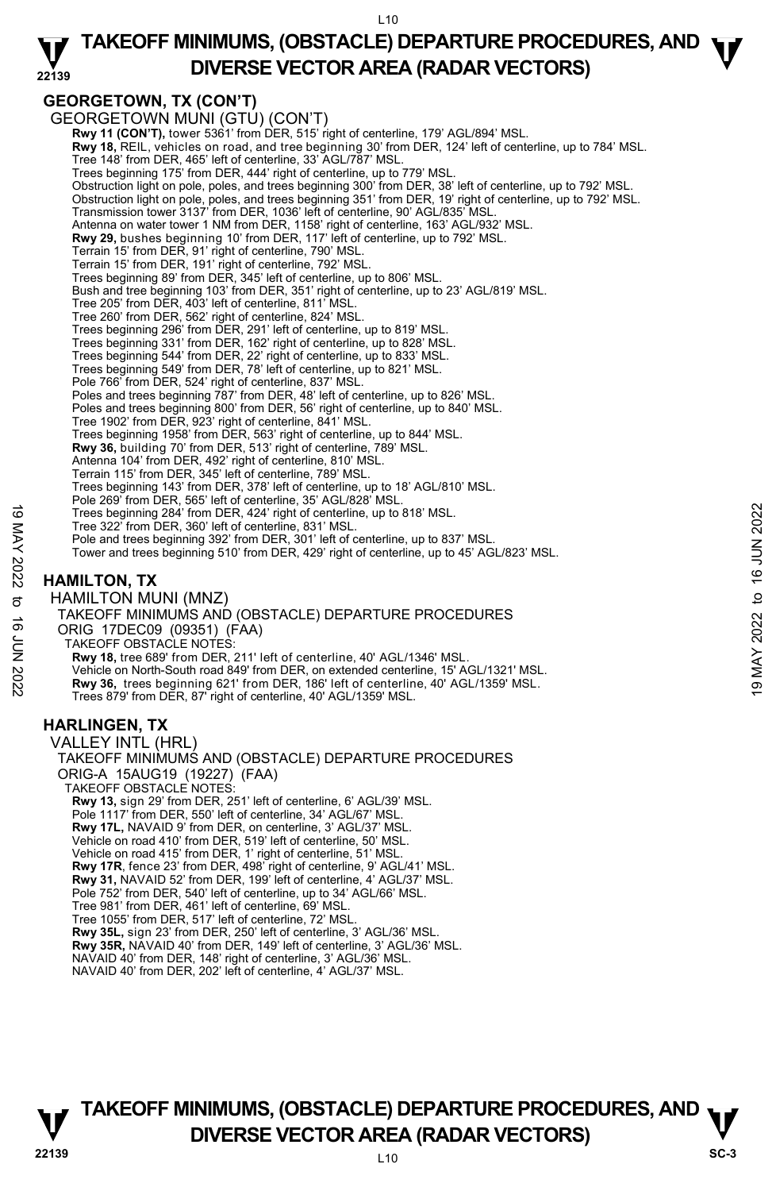### **22139 TAKEOFF MINIMUMS, (OBSTACLE) DEPARTURE PROCEDURES, AND**  $\Psi$ **DIVERSE VECTOR AREA (RADAR VECTORS)**

# **GEORGETOWN, TX (CON'T)**

GEORGETOWN MUNI (GTU) (CON'T) **Rwy 11 (CON'T),** tower 5361' from DER, 515' right of centerline, 179' AGL/894' MSL. **Rwy 18,** REIL, vehicles on road, and tree beginning 30' from DER, 124' left of centerline, up to 784' MSL. Tree 148' from DER, 465' left of centerline, 33' AGL/787' MSL. Trees beginning 175' from DER, 444' right of centerline, up to 779' MSL. Obstruction light on pole, poles, and trees beginning 300' from DER, 38' left of centerline, up to 792' MSL. Obstruction light on pole, poles, and trees beginning 351' from DER, 19' right of centerline, up to 792' MSL.<br>Transmission tower 3137' from DER, 1036' left of centerline, 90' AGL/835' MSL. Antenna on water tower 1 NM from DER, 1158' right of centerline, 163' AGL/932' MSL. **Rwy 29,** bushes beginning 10' from DER, 117' left of centerline, up to 792' MSL. Terrain 15' from DER, 91' right of centerline, 790' MSL. Terrain 15' from DER, 191' right of centerline, 792' MSL. Trees beginning 89' from DER, 345' left of centerline, up to 806' MSL. Bush and tree beginning 103' from DER, 351' right of centerline, up to 23' AGL/819' MSL. Tree 205' from DER, 403' left of centerline, 811' MSL. Tree 260' from DER, 562' right of centerline, 824' MSL. Trees beginning 296' from DER, 291' left of centerline, up to 819' MSL. Trees beginning 331' from DER, 162' right of centerline, up to 828' MSL. Trees beginning 544' from DER, 22' right of centerline, up to 833' MSL. Trees beginning 549' from DER, 78' left of centerline, up to 821' MSL. Pole 766' from DER, 524' right of centerline, 837' MSL. Poles and trees beginning 787' from DER, 48' left of centerline, up to 826' MSL. Poles and trees beginning 800' from DER, 56' right of centerline, up to 840' MSL. Tree 1902' from DER, 923' right of centerline, 841' MSL. Trees beginning 1958' from DER, 563' right of centerline, up to 844' MSL. **Rwy 36,** building 70' from DER, 513' right of centerline, 789' MSL. Antenna 104' from DER, 492' right of centerline, 810' MSL. Terrain 115' from DER, 345' left of centerline, 789' MSL. Trees beginning 143' from DER, 378' left of centerline, up to 18' AGL/810' MSL. Pole 269' from DER, 565' left of centerline, 35' AGL/828' MSL. Trees beginning 284' from DER, 424' right of centerline, up to 818' MSL. Tree 322' from DER, 360' left of centerline, 831' MSL. Pole and trees beginning 392' from DER, 301' left of centerline, up to 837' MSL. Tower and trees beginning 510' from DER, 429' right of centerline, up to 45' AGL/823' MSL. **HAMILTON, TX**  HAMILTON MUNI (MNZ) TAKEOFF MINIMUMS AND (OBSTACLE) DEPARTURE PROCEDURES ORIG 17DEC09 (09351) (FAA) TAKEOFF OBSTACLE NOTES: **Rwy 18,** tree 689' from DER, 211' left of centerline, 40' AGL/1346' MSL. Vehicle on North-South road 849' from DER, on extended centerline, 15' AGL/1321' MSL. **Rwy 36,** trees beginning 621' from DER, 186' left of centerline, 40' AGL/1359' MSL. Trees 879' from DER, 87' right of centerline, 40' AGL/1359' MSL. **HARLINGEN, TX**  VALLEY INTL (HRL) TAKEOFF MINIMUMS AND (OBSTACLE) DEPARTURE PROCEDURES ORIG-A 15AUG19 (19227) (FAA) TAKEOFF OBSTACLE NOTES: **Rwy 13,** sign 29' from DER, 251' left of centerline, 6' AGL/39' MSL. Pole 1117' from DER, 550' left of centerline, 34' AGL/67' MSL. **Rwy 17L,** NAVAID 9' from DER, on centerline, 3' AGL/37' MSL. Vehicle on road 410' from DER, 519' left of centerline, 50' MSL. Vehicle on road 415' from DER, 1' right of centerline, 51' MSL.<br>**Rwy 17R**, fence 23' from DER, 498' right of centerline, 9' AGL/41' MSL. **Rwy 31,** NAVAID 52' from DER, 199' left of centerline, 4' AGL/37' MSL. Pole 752' from DER, 540' left of centerline, up to 34' AGL/66' MSL. Tree 981' from DER, 461' left of centerline, 69' MSL. Tree 1055' from DER, 517' left of centerline, 72' MSL. **Rwy 35L,** sign 23' from DER, 250' left of centerline, 3' AGL/36' MSL. **Rwy 35R,** NAVAID 40' from DER, 149' left of centerline, 3' AGL/36' MSL. NAVAID 40' from DER, 148' right of centerline, 3' AGL/36' MSL. Trees beginning 284' from DER, 424' right of centerline, up to 818' MSL.<br>
Tree 322' from DER, 30' left of centerline, up to 837' MSL.<br>
Pole and trees beginning 392' from DER, 429' right of centerline, up to 45' AGL/823' MS

NAVAID 40' from DER, 202' left of centerline, 4' AGL/37' MSL.

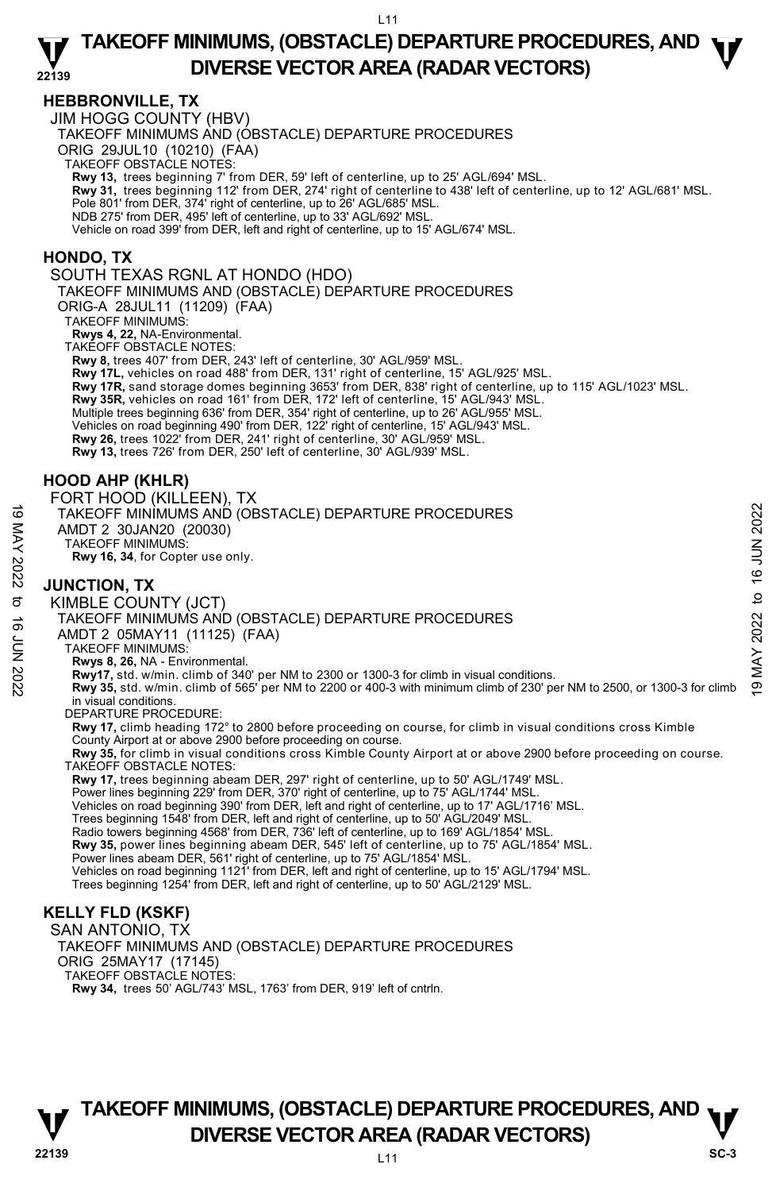### **HEBBRONVILLE, TX**

JIM HOGG COUNTY (HBV)

TAKEOFF MINIMUMS AND (OBSTACLE) DEPARTURE PROCEDURES

ORIG 29JUL10 (10210) (FAA)

TAKEOFF OBSTACLE NOTES:

**Rwy 13,** trees beginning 7' from DER, 59' left of centerline, up to 25' AGL/694' MSL.

**Rwy 31,** trees beginning 112' from DER, 274' right of centerline to 438' left of centerline, up to 12' AGL/681' MSL.

Pole 801' from DER, 374' right of centerline, up to 26' AGL/685' MSL.

NDB 275' from DER, 495' left of centerline, up to 33' AGL/692' MSL.

Vehicle on road 399' from DER, left and right of centerline, up to 15' AGL/674' MSL.

### **HONDO, TX**

SOUTH TEXAS RGNL AT HONDO (HDO)

TAKEOFF MINIMUMS AND (OBSTACLE) DEPARTURE PROCEDURES

ORIG-A 28JUL11 (11209) (FAA)

TAKEOFF MINIMUMS:

**Rwys 4, 22,** NA-Environmental.

TAKEOFF OBSTACLE NOTES:

**Rwy 8,** trees 407' from DER, 243' left of centerline, 30' AGL/959' MSL.

**Rwy 17L,** vehicles on road 488' from DER, 131' right of centerline, 15' AGL/925' MSL.

**Rwy 17R,** sand storage domes beginning 3653' from DER, 838' right of centerline, up to 115' AGL/1023' MSL.

**Rwy 35R,** vehicles on road 161' from DER, 172' left of centerline, 15' AGL/943' MSL.

Multiple trees beginning 636' from DER, 354' right of centerline, up to 26' AGL/955' MSL.

Vehicles on road beginning 490' from DER, 122' right of centerline, 15' AGL/943' MSL.

**Rwy 26,** trees 1022' from DER, 241' right of centerline, 30' AGL/959' MSL.

**Rwy 13,** trees 726' from DER, 250' left of centerline, 30' AGL/939' MSL.

### **HOOD AHP (KHLR)**

FORT HOOD (KILLEEN), TX TAKEOFF MINIMUMS AND (OBSTACLE) DEPARTURE PROCEDURES AMDT 2 30JAN20 (20030) TAKEOFF MINIMUMS: **Rwy 16, 34**, for Copter use only.

## **JUNCTION, TX**

KIMBLE COUNTY (JCT) TAKEOFF MINIMUMS AND (OBSTACLE) DEPARTURE PROCEDURES AMDT 2 05MAY11 (11125) (FAA) TAKEOFF MINIMUMS: **Rwys 8, 26,** NA - Environmental. TAKEOFF MINIMUMS AND (OBSTACLE) DEPARTURE PROCEDURES<br>
AMDT 2 30JAN20 (20030)<br>
TAKEOFF MINIMUMS:<br>
NO **JUNCTION, TX**<br>
SO **JUNCTION, TX**<br>
SO **JUNCTION, TX**<br>
SO **INIMUMS**<br>
SO **TAKEOFF MINIMUMS** AND (OBSTACLE) DEPARTURE PROCED in visual conditions. DEPARTURE PROCEDURE **Rwy 17,** climb heading 172° to 2800 before proceeding on course, for climb in visual conditions cross Kimble County Airport at or above 2900 before proceeding on course. **Rwy 35,** for climb in visual conditions cross Kimble County Airport at or above 2900 before proceeding on course. TAKEOFF OBSTACLE NOTES:

**Rwy 17,** trees beginning abeam DER, 297' right of centerline, up to 50' AGL/1749' MSL.

Power lines beginning 229' from DER, 370' right of centerline, up to 75' AGL/1744' MSL.

Vehicles on road beginning 390' from DER, left and right of centerline, up to 17' AGL/1716' MSL.

Trees beginning 1548' from DER, left and right of centerline, up to 50' AGL/2049' MSL.

Radio towers beginning 4568' from DER, 736' left of centerline, up to 169' AGL/1854' MSL.

**Rwy 35,** power lines beginning abeam DER, 545' left of centerline, up to 75' AGL/1854' MSL.<br>Power lines abeam DER, 561' right of centerline, up to 75' AGL/1854' MSL.

Vehicles on road beginning 1121' from DER, left and right of centerline, up to 15' AGL/1794' MSL.

Trees beginning 1254' from DER, left and right of centerline, up to 50' AGL/2129' MSL.

# **KELLY FLD (KSKF)**

SAN ANTONIO, TX TAKEOFF MINIMUMS AND (OBSTACLE) DEPARTURE PROCEDURES ORIG 25MAY17 (17145) TAKEOFF OBSTACLE NOTES: **Rwy 34,** trees 50' AGL/743' MSL, 1763' from DER, 919' left of cntrln.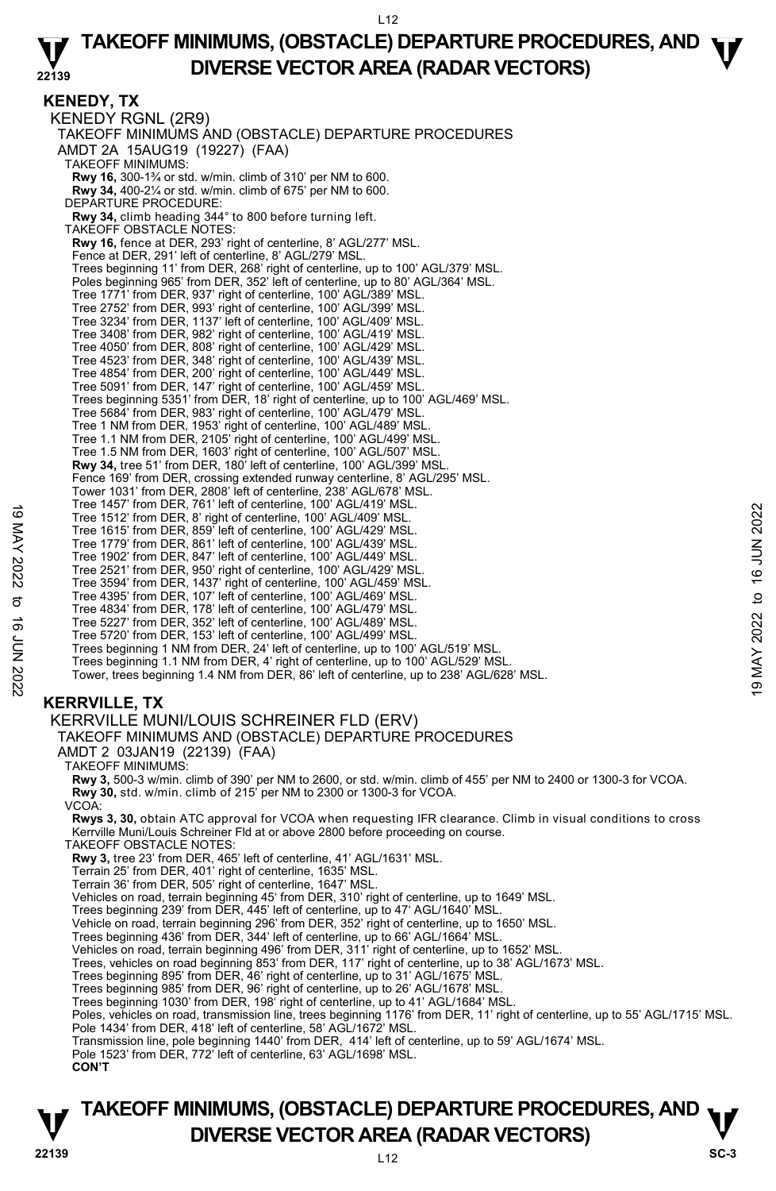### **22139 TAKEOFF MINIMUMS, (OBSTACLE) DEPARTURE PROCEDURES, AND**  $\Psi$ **DIVERSE VECTOR AREA (RADAR VECTORS)**

**KENEDY, TX**  KENEDY RGNL (2R9) TAKEOFF MINIMUMS AND (OBSTACLE) DEPARTURE PROCEDURES AMDT 2A 15AUG19 (19227) (FAA) TAKEOFF MINIMUMS: **Rwy 16,** 300-1¾ or std. w/min. climb of 310' per NM to 600. **Rwy 34,** 400-2¼ or std. w/min. climb of 675' per NM to 600. DEPARTURE PROCEDURE: **Rwy 34,** climb heading 344° to 800 before turning left. TAKEOFF OBSTACLE NOTES: **Rwy 16,** fence at DER, 293' right of centerline, 8' AGL/277' MSL. Fence at DER, 291' left of centerline, 8' AGL/279' MSL. Trees beginning 11' from DER, 268' right of centerline, up to 100' AGL/379' MSL. Poles beginning 965' from DER, 352' left of centerline, up to 80' AGL/364' MSL. Tree 1771' from DER, 937' right of centerline, 100' AGL/389' MSL. Tree 2752' from DER, 993' right of centerline, 100' AGL/399' MSL. Tree 3234' from DER, 1137' left of centerline, 100' AGL/409' MSL. Tree 3408' from DER, 982' right of centerline, 100' AGL/419' MSL. Tree 4050' from DER, 808' right of centerline, 100' AGL/429' MSL. Tree 4523' from DER, 348' right of centerline, 100' AGL/439' MSL.<br>Tree 4854' from DER, 200' right of centerline, 100' AGL/449' MSL.<br>Tree 5091' from DER, 147' right of centerline, 100' AGL/459' MSL. Trees beginning 5351' from DER, 18' right of centerline, up to 100' AGL/469' MSL. Tree 5684' from DER, 983' right of centerline, 100' AGL/479' MSL. Tree 1 NM from DER, 1953' right of centerline, 100' AGL/489' MSL. Tree 1.1 NM from DER, 2105' right of centerline, 100' AGL/499' MSL. Tree 1.5 NM from DER, 1603' right of centerline, 100' AGL/507' MSL. **Rwy 34,** tree 51' from DER, 180' left of centerline, 100' AGL/399' MSL. Fence 169' from DER, crossing extended runway centerline, 8' AGL/295' MSL. Tower 1031' from DER, 2808' left of centerline, 238' AGL/678' MSL. Tree 1457' from DER, 761' left of centerline, 100' AGL/419' MSL. Tree 1512' from DER, 8' right of centerline, 100' AGL/409' MSL. Tree 1615' from DER, 859' left of centerline, 100' AGL/429' MSL. Tree 1779' from DER, 861' left of centerline, 100' AGL/439' MSL. Tree 1902' from DER, 847' left of centerline, 100' AGL/449' MSL. Tree 2521' from DER, 950' right of centerline, 100' AGL/429' MSL. Tree 3594' from DER, 1437' right of centerline, 100' AGL/459' MSL. Tree 4395' from DER, 107' left of centerline, 100' AGL/469' MSL. Tree 4834' from DER, 178' left of centerline, 100' AGL/479' MSL. Tree 5227' from DER, 352' left of centerline, 100' AGL/489' MSL. Tree 5720' from DER, 153' left of centerline, 100' AGL/499' MSL. Trees beginning 1 NM from DER, 24' left of centerline, up to 100' AGL/519' MSL. Trees beginning 1.1 NM from DER, 4' right of centerline, up to 100' AGL/529' MSL. Tower, trees beginning 1.4 NM from DER, 86' left of centerline, up to 238' AGL/628' MSL. Tree 1437 Iroll Deck, Pol let the Contentine, 100 AGL/409 MSL.<br>
Tree 1512 from DER, 8 right of centerline, 100 AGL/429' MSL.<br>
Tree 1615' from DER, 869' left of centerline, 100' AGL/429' MSL.<br>
Tree 1902' from DER, 847' left

# **KERRVILLE, TX**

KERRVILLE MUNI/LOUIS SCHREINER FLD (ERV)

TAKEOFF MINIMUMS AND (OBSTACLE) DEPARTURE PROCEDURES

AMDT 2 03JAN19 (22139) (FAA)

TAKEOFF MINIMUMS:

**Rwy 3,** 500-3 w/min. climb of 390' per NM to 2600, or std. w/min. climb of 455' per NM to 2400 or 1300-3 for VCOA.

**Rwy 30,** std. w/min. climb of 215' per NM to 2300 or 1300-3 for VCOA.

VCOA:

**Rwys 3, 30,** obtain ATC approval for VCOA when requesting IFR clearance. Climb in visual conditions to cross Kerrville Muni/Louis Schreiner Fld at or above 2800 before proceeding on course.

TAKEOFF OBSTACLE NOTES:

**Rwy 3,** tree 23' from DER, 465' left of centerline, 41' AGL/1631' MSL.

- Terrain 25' from DER, 401' right of centerline, 1635' MSL.
- Terrain 36' from DER, 505' right of centerline, 1647' MSL.
- Vehicles on road, terrain beginning 45' from DER, 310' right of centerline, up to 1649' MSL.<br>Trees beginning 239' from DER, 445' left of centerline, up to 47' AGL/1640' MSL.
- 
- Vehicle on road, terrain beginning 296' from DER, 352' right of centerline, up to 1650' MSL.
- Trees beginning 436' from DER, 344' left of centerline, up to 66' AGL/1664' MSL. Vehicles on road, terrain beginning 496' from DER, 311' right of centerline, up to 1652' MSL.
- 
- Trees, vehicles on road beginning 853' from DER, 117' right of centerline, up to 38' AGL/1673' MSL.
- Trees beginning 895' from DER, 46' right of centerline, up to 31' AGL/1675' MSL. Trees beginning 985' from DER, 96' right of centerline, up to 26' AGL/1678' MSL.
- 
- Trees beginning 1030' from DER, 198' right of centerline, up to 41' AGL/1684' MSL.
- Poles, vehicles on road, transmission line, trees beginning 1176' from DER, 11' right of centerline, up to 55' AGL/1715' MSL. Pole 1434' from DER, 418' left of centerline, 58' AGL/1672' MSL.
- Transmission line, pole beginning 1440' from DER, 414' left of centerline, up to 59' AGL/1674' MSL.
- Pole 1523' from DER, 772' left of centerline, 63' AGL/1698' MSL.
- **CON'T**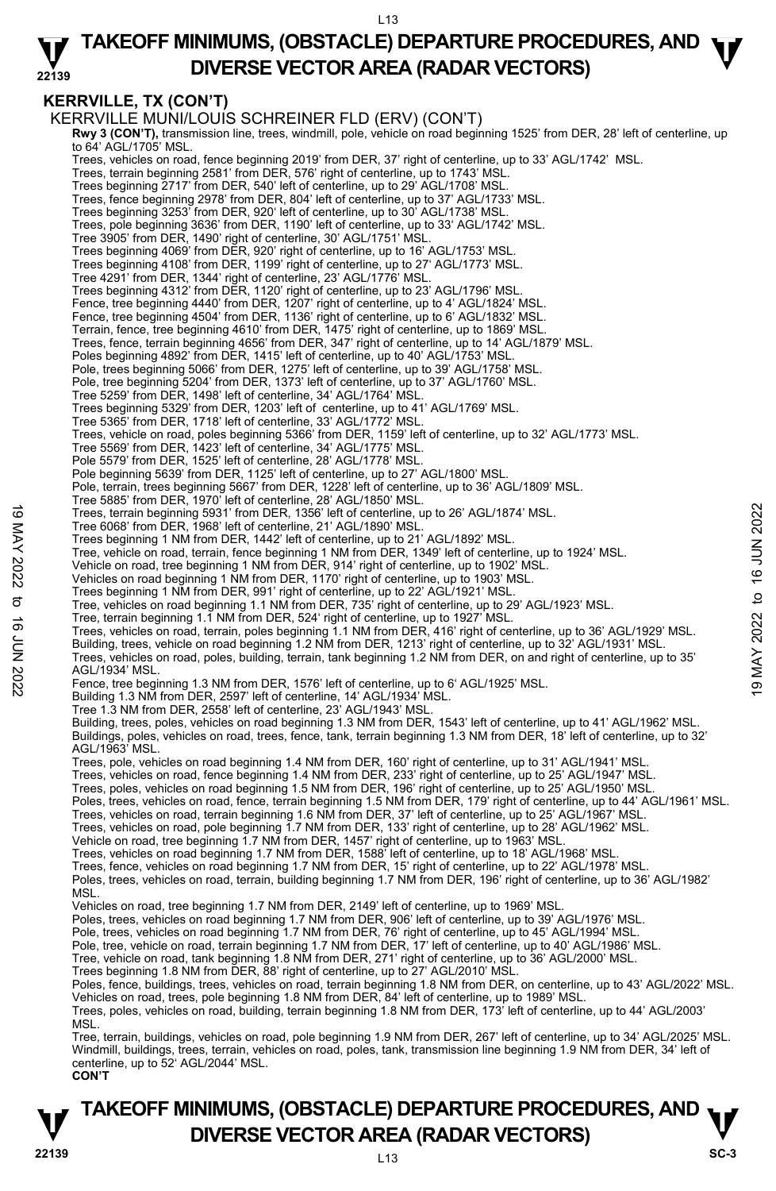### **22139 TAKEOFF MINIMUMS, (OBSTACLE) DEPARTURE PROCEDURES, AND**  $\Psi$ **DIVERSE VECTOR AREA (RADAR VECTORS)**

# **KERRVILLE, TX (CON'T)**

KERRVILLE MUNI/LOUIS SCHREINER FLD (ERV) (CON'T)  **Rwy 3 (CON'T),** transmission line, trees, windmill, pole, vehicle on road beginning 1525' from DER, 28' left of centerline, up to 64' AGL/1705' MSL. Trees, vehicles on road, fence beginning 2019' from DER, 37' right of centerline, up to 33' AGL/1742' MSL. Trees, terrain beginning 2581' from DER, 576' right of centerline, up to 1743' MSL. Trees beginning 2717' from DER, 540' left of centerline, up to 29' AGL/1708' MSL. Trees, fence beginning 2978' from DER, 804' left of centerline, up to 37' AGL/1733' MSL. Trees beginning 3253' from DER, 920' left of centerline, up to 30' AGL/1738' MSL. Trees, pole beginning 3636' from DER, 1190' left of centerline, up to 33' AGL/1742' MSL. Tree 3905' from DER, 1490' right of centerline, 30' AGL/1751' MSL. Trees beginning 4069' from DER, 920' right of centerline, up to 16' AGL/1753' MSL. Trees beginning 4108' from DER, 1199' right of centerline, up to 27' AGL/1773' MSL. Tree 4291' from DER, 1344' right of centerline, 23' AGL/1776' MSL. Trees beginning 4312' from DER, 1120' right of centerline, up to 23' AGL/1796' MSL. Fence, tree beginning 4440' from DER, 1207' right of centerline, up to 4' AGL/1824' MSL. Fence, tree beginning 4504' from DER, 1136' right of centerline, up to 6' AGL/1832' MSL. Terrain, fence, tree beginning 4610' from DER, 1475' right of centerline, up to 1869' MSL. Trees, fence, terrain beginning 4656' from DER, 347' right of centerline, up to 14' AGL/1879' MSL. Poles beginning 4892' from DER, 1415' left of centerline, up to 40' AGL/1753' MSL Pole, trees beginning 5066' from DER, 1275' left of centerline, up to 39' AGL/1758' MSL. Pole, tree beginning 5204' from DER, 1373' left of centerline, up to 37' AGL/1760' MSL. Tree 5259' from DER, 1498' left of centerline, 34' AGL/1764' MSL. Trees beginning 5329' from DER, 1203' left of centerline, up to 41' AGL/1769' MSL. Tree 5365' from DER, 1718' left of centerline, 33' AGL/1772' MSL. Trees, vehicle on road, poles beginning 5366' from DER, 1159' left of centerline, up to 32' AGL/1773' MSL. Tree 5569' from DER, 1423' left of centerline, 34' AGL/1775' MSL. Pole 5579' from DER, 1525' left of centerline, 28' AGL/1778' MSL. Pole beginning 5639' from DER, 1125' left of centerline, up to 27' AGL/1800' MSL. Pole, terrain, trees beginning 5667' from DER, 1228' left of centerline, up to 36' AGL/1809' MSL. Tree 5885' from DER, 1970' left of centerline, 28' AGL/1850' MSL. Trees, terrain beginning 5931' from DER, 1356' left of centerline, up to 26' AGL/1874' MSL. Tree 6068' from DER, 1968' left of centerline, 21' AGL/1890' MSL. Trees beginning 1 NM from DER, 1442' left of centerline, up to 21' AGL/1892' MSL. Tree, vehicle on road, terrain, fence beginning 1 NM from DER, 1349' left of centerline, up to 1924' MSL. Vehicle on road, tree beginning 1 NM from DER, 914' right of centerline, up to 1902' MSL. Vehicles on road beginning 1 NM from DER, 1170' right of centerline, up to 1903' MSL.<br>Trees beginning 1 NM from DER, 991' right of centerline, up to 22' AGL/1921' MSL. Tree, vehicles on road beginning 1.1 NM from DER, 735' right of centerline, up to 29' AGL/1923' MSL. Tree, terrain beginning 1.1 NM from DER, 524' right of centerline, up to 1927' MSL. Trees, vehicles on road, terrain, poles beginning 1.1 NM from DER, 416' right of centerline, up to 36' AGL/1929' MSL. Building, trees, vehicle on road beginning 1.2 NM from DER, 1213' right of centerline, up to 32' AGL/1931' MSL. Trees, vehicles on road, poles, building, terrain, tank beginning 1.2 NM from DER, on and right of centerline, up to 35' AGL/1934' MSL. Fence, tree beginning 1.3 NM from DER, 1576' left of centerline, up to 6' AGL/1925' MSL. Building 1.3 NM from DER, 2597' left of centerline, 14' AGL/1934' MSL. Tree 1.3 NM from DER, 2558' left of centerline, 23' AGL/1943' MSI Building, trees, poles, vehicles on road beginning 1.3 NM from DER, 1543' left of centerline, up to 41' AGL/1962' MSL. Buildings, poles, vehicles on road, trees, fence, tank, terrain beginning 1.3 NM from DER, 18' left of centerline, up to 32' AGL/1963' MSL. Trees, pole, vehicles on road beginning 1.4 NM from DER, 160' right of centerline, up to 31' AGL/1941' MSL. Trees, vehicles on road, fence beginning 1.4 NM from DER, 233' right of centerline, up to 25' AGL/1947' MSL. Trees, poles, vehicles on road beginning 1.5 NM from DER, 196' right of centerline, up to 25' AGL/1950' MSL. Poles, trees, vehicles on road, fence, terrain beginning 1.5 NM from DER, 179' right of centerline, up to 44' AGL/1961' MSL.<br>Trees, vehicles on road, terrain beginning 1.6 NM from DER, 37' left of centerline, up to 25' AGL Trees, vehicles on road, pole beginning 1.7 NM from DER, 133' right of centerline, up to 28' AGL/1962' MSL. Vehicle on road, tree beginning 1.7 NM from DER, 1457' right of centerline, up to 1963' MSL. Trees, vehicles on road beginning 1.7 NM from DER, 1588' left of centerline, up to 18' AGL/1968' MSL. Trees, fence, vehicles on road beginning 1.7 NM from DER, 15' right of centerline, up to 22' AGL/1978' MSL. Poles, trees, vehicles on road, terrain, building beginning 1.7 NM from DER, 196' right of centerline, up to 36' AGL/1982' **MSL** Vehicles on road, tree beginning 1.7 NM from DER, 2149' left of centerline, up to 1969' MSL. Poles, trees, vehicles on road beginning 1.7 NM from DER, 906' left of centerline, up to 39' AGL/1976' MSL. Pole, trees, vehicles on road beginning 1.7 NM from DER, 76' right of centerline, up to 45' AGL/1994' MSL Pole, tree, vehicle on road, terrain beginning 1.7 NM from DER, 17' left of centerline, up to 40' AGL/1986' MSL.<br>Tree, vehicle on road, tank beginning 1.8 NM from DER, 271' right of centerline, up to 36' AGL/2000' MSL. Trees beginning 1.8 NM from DER, 88' right of centerline, up to 27' AGL/2010' MSL. Poles, fence, buildings, trees, vehicles on road, terrain beginning 1.8 NM from DER, on centerline, up to 43' AGL/2022' MSL.<br>Vehicles on road, trees, pole beginning 1.8 NM from DER, 84' left of centerline, up to 1989' MSL. Trees, poles, vehicles on road, building, terrain beginning 1.8 NM from DER, 173' left of centerline, up to 44' AGL/2003' MSL. Tree, terrain, buildings, vehicles on road, pole beginning 1.9 NM from DER, 267' left of centerline, up to 34' AGL/2025' MSL. Windmill, buildings, trees, terrain, vehicles on road, poles, tank, transmission line beginning 1.9 NM from DER, 34' left of Trees, terrain beginning 5931 from DER, 1356' left of centerline, up to 26' AGL/1874' MSL.<br>
Tree 6088' from DER, 196' left of centerline, up to 21' AGL/1892' MSL.<br>
Trees beginning 1 NM from DER, 1442' left of centerline,

**CON'T**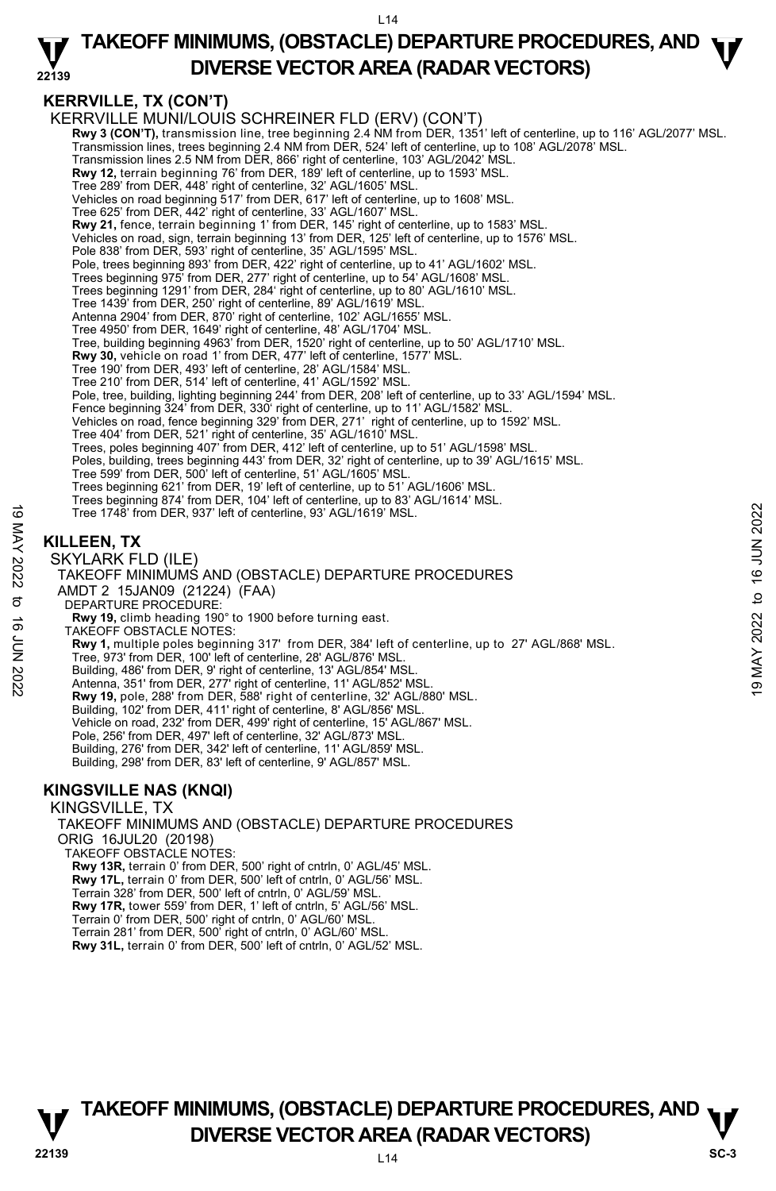### **22139 TAKEOFF MINIMUMS, (OBSTACLE) DEPARTURE PROCEDURES, AND**  $\Psi$ **DIVERSE VECTOR AREA (RADAR VECTORS)**

# **KERRVILLE, TX (CON'T)**

KERRVILLE MUNI/LOUIS SCHREINER FLD (ERV) (CON'T) **Rwy 3 (CON'T),** transmission line, tree beginning 2.4 NM from DER, 1351' left of centerline, up to 116' AGL/2077' MSL. Transmission lines, trees beginning 2.4 NM from DER, 524' left of centerline, up to 108' AGL/2078' MSL. Transmission lines 2.5 NM from DER, 866' right of centerline, 103' AGL/2042' MSL. **Rwy 12,** terrain beginning 76' from DER, 189' left of centerline, up to 1593' MSL. Tree 289' from DER, 448' right of centerline, 32' AGL/1605' MSL. Vehicles on road beginning 517' from DER, 617' left of centerline, up to 1608' MSL. Tree 625' from DER, 442' right of centerline, 33' AGL/1607' MSL. **Rwy 21,** fence, terrain beginning 1' from DER, 145' right of centerline, up to 1583' MSL. Vehicles on road, sign, terrain beginning 13' from DER, 125' left of centerline, up to 1576' MSL. Pole 838' from DER, 593' right of centerline, 35' AGL/1595' MSL. Pole, trees beginning 893' from DER, 422' right of centerline, up to 41' AGL/1602' MSL. Trees beginning 975' from DER, 277' right of centerline, up to 54' AGL/1608' MSL. Trees beginning 1291' from DER, 284' right of centerline, up to 80' AGL/1610' MSL. Tree 1439' from DER, 250' right of centerline, 89' AGL/1619' MSL. Antenna 2904' from DER, 870' right of centerline, 102' AGL/1655' MSL. Tree 4950' from DER, 1649' right of centerline, 48' AGL/1704' MSL. Tree, building beginning 4963' from DER, 1520' right of centerline, up to 50' AGL/1710' MSL. **Rwy 30,** vehicle on road 1' from DER, 477' left of centerline, 1577' MSL. Tree 190' from DER, 493' left of centerline, 28' AGL/1584' MSL. Tree 210' from DER, 514' left of centerline, 41' AGL/1592' MSL. Pole, tree, building, lighting beginning 244' from DER, 208' left of centerline, up to 33' AGL/1594' MSL.<br>Fence beginning 324' from DER, 330' right of centerline, up to 11' AGL/1582' MSL. Vehicles on road, fence beginning 329' from DER, 271' right of centerline, up to 1592' MSL. Tree 404' from DER, 521' right of centerline, 35' AGL/1610' MSL. Trees, poles beginning 407' from DER, 412' left of centerline, up to 51' AGL/1598' MSL. Poles, building, trees beginning 443' from DER, 32' right of centerline, up to 39' AGL/1615' MSL. Tree 599' from DER, 500' left of centerline, 51' AGL/1605' MSL. Trees beginning 621' from DER, 19' left of centerline, up to 51' AGL/1606' MSL. Trees beginning 874' from DER, 104' left of centerline, up to 83' AGL/1614' MSL. Tree 1748' from DER, 937' left of centerline, 93' AGL/1619' MSL. **KILLEEN, TX**  SKYLARK FLD (ILE) TAKEOFF MINIMUMS AND (OBSTACLE) DEPARTURE PROCEDURES AMDT 2 15JAN09 (21224) (FAA) DEPARTURE PROCEDURE: **Rwy 19,** climb heading 190° to 1900 before turning east. TAKEOFF OBSTACLE NOTES: **Rwy 1,** multiple poles beginning 317' from DER, 384' left of centerline, up to 27' AGL/868' MSL. Tree, 973' from DER, 100' left of centerline, 28' AGL/876' MSL. Building, 486' from DER, 9' right of centerline, 13' AGL/854' MSL. Antenna, 351' from DER, 277' right of centerline, 11' AGL/852' MSL. **Rwy 19,** pole, 288' from DER, 588' right of centerline, 32' AGL/880' MSL. Building, 102' from DER, 411' right of centerline, 8' AGL/856' MSL. Vehicle on road, 232' from DER, 499' right of centerline, 15' AGL/867' MSL. Pole, 256' from DER, 497' left of centerline, 32' AGL/873' MSL. Building, 276' from DER, 342' left of centerline, 11' AGL/859' MSL. Building, 298' from DER, 83' left of centerline, 9' AGL/857' MSL. **KINGSVILLE NAS (KNQI)**  KINGSVILLE, TX Tree 1748' from DER, 937 left of centerline, 93' AGL/1619' MSL.<br>  $\frac{1}{2}$ <br>
SKYLARK FLD (ILE)<br>
TAKEOFF MINIMUMS AND (OBSTACLE) DEPARTURE PROCEDURES<br>
MMDT 2 15JAN09 (21224) (FAA)<br>  $\frac{1}{2}$ <br>
TAW 19, climb heading 190° to 1

#### TAKEOFF MINIMUMS AND (OBSTACLE) DEPARTURE PROCEDURES ORIG 16JUL20 (20198) TAKEOFF OBSTACLE NOTES: **Rwy 13R,** terrain 0' from DER, 500' right of cntrln, 0' AGL/45' MSL. **Rwy 17L,** terrain 0' from DER, 500' left of cntrln, 0' AGL/56' MSL. Terrain 328' from DER, 500' left of cntrln, 0' AGL/59' MSL. **Rwy 17R,** tower 559' from DER, 1' left of cntrln, 5' AGL/56' MSL. Terrain 0' from DER, 500' right of cntrln, 0' AGL/60' MSL. Terrain 281' from DER, 500' right of cntrln, 0' AGL/60' MSL.

**Rwy 31L,** terrain 0' from DER, 500' left of cntrln, 0' AGL/52' MSL.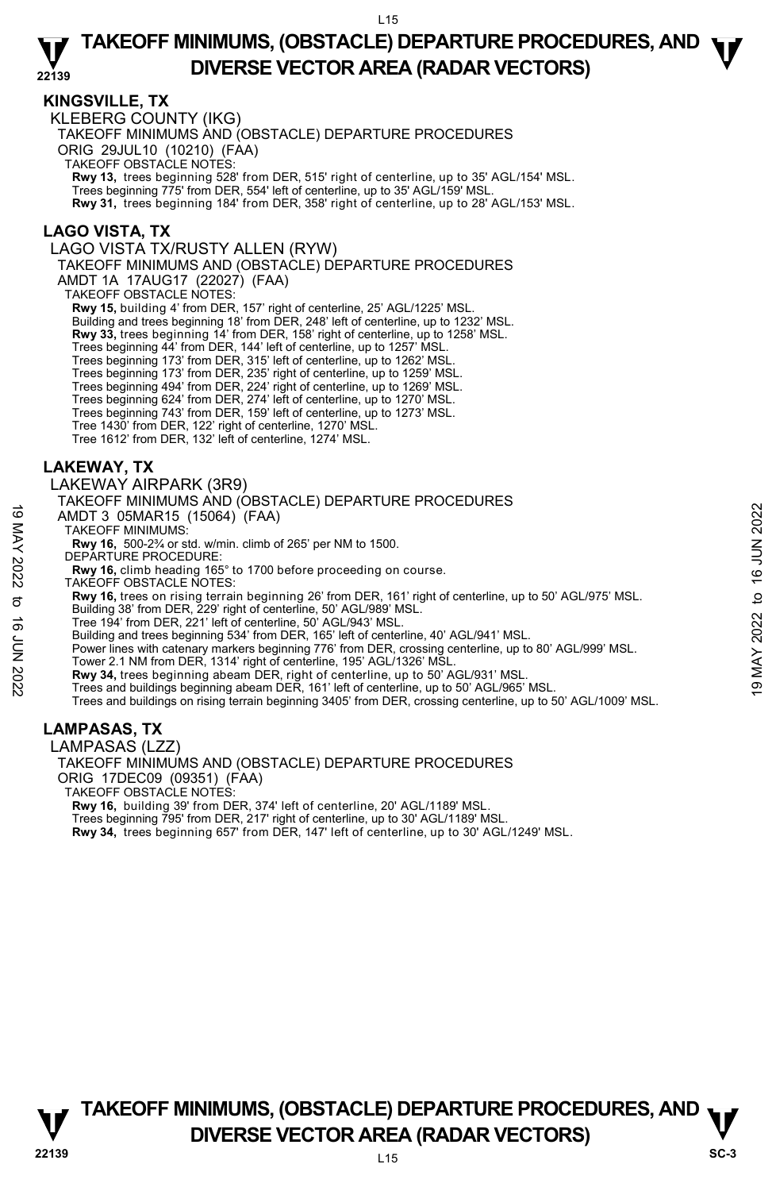### **KINGSVILLE, TX**

KLEBERG COUNTY (IKG) TAKEOFF MINIMUMS AND (OBSTACLE) DEPARTURE PROCEDURES ORIG 29JUL10 (10210) (FAA) TAKEOFF OBSTACLE NOTES: **Rwy 13,** trees beginning 528' from DER, 515' right of centerline, up to 35' AGL/154' MSL. Trees beginning 775' from DER, 554' left of centerline, up to 35' AGL/159' MSL. **Rwy 31,** trees beginning 184' from DER, 358' right of centerline, up to 28' AGL/153' MSL.

# **LAGO VISTA, TX**

LAGO VISTA TX/RUSTY ALLEN (RYW)

TAKEOFF MINIMUMS AND (OBSTACLE) DEPARTURE PROCEDURES

AMDT 1A 17AUG17 (22027) (FAA)

TAKEOFF OBSTACLE NOTES:

**Rwy 15,** building 4' from DER, 157' right of centerline, 25' AGL/1225' MSL.

Building and trees beginning 18' from DER, 248' left of centerline, up to 1232' MSL.

**Rwy 33,** trees beginning 14' from DER, 158' right of centerline, up to 1258' MSL.

Trees beginning 44' from DER, 144' left of centerline, up to 1257' MSL.

Trees beginning 173' from DER, 315' left of centerline, up to 1262' MSL.<br>Trees beginning 173' from DER, 235' right of centerline, up to 1259' MSL.<br>Trees beginning 494' from DER, 224' right of centerline, up to 1269' MSL.

Trees beginning 624' from DER, 274' left of centerline, up to 1270' MSL. Trees beginning 743' from DER, 159' left of centerline, up to 1273' MSL.

Tree 1430' from DER, 122' right of centerline, 1270' MSL.

Tree 1612' from DER, 132' left of centerline, 1274' MSL.

# **LAKEWAY, TX**

LAKEWAY AIRPARK (3R9)

TAKEOFF MINIMUMS AND (OBSTACLE) DEPARTURE PROCEDURES

AMDT 3 05MAR15 (15064) (FAA)

TAKEOFF MINIMUMS:

**Rwy 16,** 500-2¾ or std. w/min. climb of 265' per NM to 1500.

DEPARTURE PROCEDURE:

**Rwy 16,** climb heading 165° to 1700 before proceeding on course.

TAKEOFF OBSTACLE NOTES:

**Rwy 16,** trees on rising terrain beginning 26' from DER, 161' right of centerline, up to 50' AGL/975' MSL.

Building 38' from DER, 229' right of centerline, 50' AGL/989' MSL.

Tree 194' from DER, 221' left of centerline, 50' AGL/943' MSL.

Building and trees beginning 534' from DER, 165' left of centerline, 40' AGL/941' MSL.

Power lines with catenary markers beginning 776' from DER, crossing centerline, up to 80' AGL/999' MSL. 19 MACH TO COMMANY TO SURVEY THE TRIGGEND ON THE TRIGGENT ON THE TRIGGENT TO UNIT 30 OSMAR15 (15064) (FAA)<br>
TAKEOFF MINIMUMS:<br>
RWY 16, climb heading 165° to 1700 before proceeding on course.<br>
RWY 16, climb heading 165° to

Tower 2.1 NM from DER, 1314' right of centerline, 195' AGL/1326' MSL.

**Rwy 34,** trees beginning abeam DER, right of centerline, up to 50' AGL/931' MSL.<br>Trees and buildings beginning abeam DER, 161' left of centerline, up to 50' AGL/965' MSL.

Trees and buildings on rising terrain beginning 3405' from DER, crossing centerline, up to 50' AGL/1009' MSL.

# **LAMPASAS, TX**

LAMPASAS (LZZ)

TAKEOFF MINIMUMS AND (OBSTACLE) DEPARTURE PROCEDURES ORIG 17DEC09 (09351) (FAA)

TAKEOFF OBSTACLE NOTES:

**Rwy 16,** building 39' from DER, 374' left of centerline, 20' AGL/1189' MSL. Trees beginning 795' from DER, 217' right of centerline, up to 30' AGL/1189' MSL.

**Rwy 34,** trees beginning 657' from DER, 147' left of centerline, up to 30' AGL/1249' MSL.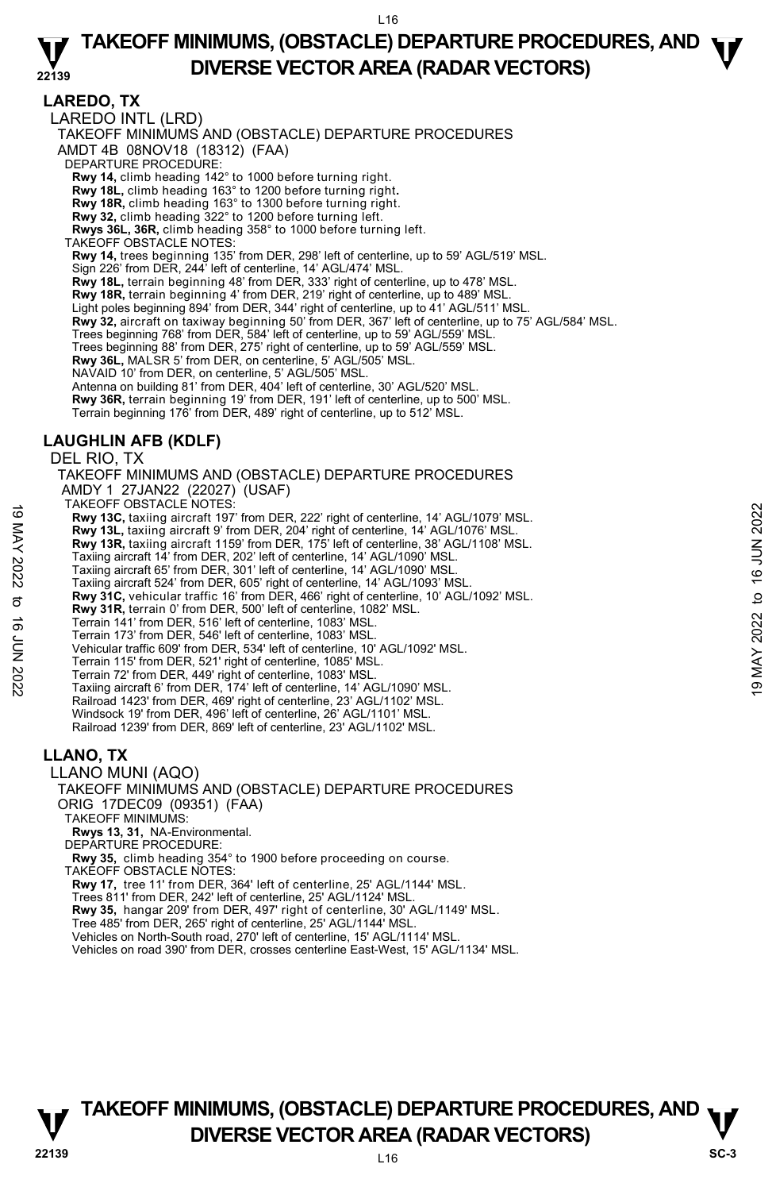**LAREDO, TX**  LAREDO INTL (LRD) TAKEOFF MINIMUMS AND (OBSTACLE) DEPARTURE PROCEDURES AMDT 4B 08NOV18 (18312) (FAA) DEPARTURE PROCEDURE: **Rwy 14,** climb heading 142° to 1000 before turning right. **Rwy 18L,** climb heading 163° to 1200 before turning right**. Rwy 18R,** climb heading 163° to 1300 before turning right. **Rwy 32,** climb heading 322° to 1200 before turning left. **Rwys 36L, 36R,** climb heading 358° to 1000 before turning left. TAKEOFF OBSTACLE NOTES: **Rwy 14,** trees beginning 135' from DER, 298' left of centerline, up to 59' AGL/519' MSL. Sign 226' from DER, 244' left of centerline, 14' AGL/474' MSL. **Rwy 18L,** terrain beginning 48' from DER, 333' right of centerline, up to 478' MSL. **Rwy 18R,** terrain beginning 4' from DER, 219' right of centerline, up to 489' MSL. Light poles beginning 894' from DER, 344' right of centerline, up to 41' AGL/511' MSI **Rwy 32,** aircraft on taxiway beginning 50' from DER, 367' left of centerline, up to 75' AGL/584' MSL. Trees beginning 768' from DER, 584' left of centerline, up to 59' AGL/559' MSL. Trees beginning 88' from DER, 275' right of centerline, up to 59' AGL/559' MSL. **Rwy 36L,** MALSR 5' from DER, on centerline, 5' AGL/505' MSL. NAVAID 10' from DER, on centerline, 5' AGL/505' MSL. Antenna on building 81' from DER, 404' left of centerline, 30' AGL/520' MSL. **Rwy 36R,** terrain beginning 19' from DER, 191' left of centerline, up to 500' MSL.<br>Terrain beginning 176' from DER, 489' right of centerline, up to 512' MSL. **LAUGHLIN AFB (KDLF)**  DEL RIO, TX TAKEOFF MINIMUMS AND (OBSTACLE) DEPARTURE PROCEDURES AMDY 1 27JAN22 (22027) (USAF) TAKEOFF OBSTACLE NOTES: **Rwy 13C,** taxiing aircraft 197' from DER, 222' right of centerline, 14' AGL/1079' MSL. **Rwy 13L,** taxiing aircraft 9' from DER, 204' right of centerline, 14' AGL/1076' MSL. **Rwy 13R,** taxiing aircraft 1159' from DER, 175' left of centerline, 38' AGL/1108' MSL. Taxiing aircraft 14' from DER, 202' left of centerline, 14' AGL/1090' MSL. Taxiing aircraft 65' from DER, 301' left of centerline, 14' AGL/1090' MSL. Taxiing aircraft 524' from DER, 605' right of centerline, 14' AGL/1093' MSL. **Rwy 31C,** vehicular traffic 16' from DER, 466' right of centerline, 10' AGL/1092' MSL. **Rwy 31R,** terrain 0' from DER, 500' left of centerline, 1082' MSL. Terrain 141' from DER, 516' left of centerline, 1083' MSL. Terrain 173' from DER, 546' left of centerline, 1083' MSL. 19 MACUT USSIACLE NOTES.<br> **EVALUAT AND 13C, taxiing** aircraft 197' from DER, 202' right of centerline, 14' AGL/1079' MSL.<br> **EVALUAT 2022** to 16 OR 2021 right of centerline, 14' AGL/1076' MSL.<br> **EVALUAT 2022** to 16 OR 175'

Vehicular traffic 609' from DER, 534' left of centerline, 10' AGL/1092' MSL.

Terrain 115' from DER, 521' right of centerline, 1085' MSL.

Terrain 72' from DER, 449' right of centerline, 1083' MSL. Taxiing aircraft 6' from DER, 174' left of centerline, 14' AGL/1090' MSL. Railroad 1423' from DER, 469' right of centerline, 23' AGL/1102' MSL.

Windsock 19' from DER, 496' left of centerline, 26' AGL/1101' MSL. Railroad 1239' from DER, 869' left of centerline, 23' AGL/1102' MSL.

### **LLANO, TX**

LLANO MUNI (AQO)

TAKEOFF MINIMUMS AND (OBSTACLE) DEPARTURE PROCEDURES ORIG 17DEC09 (09351) (FAA)

TAKEOFF MINIMUMS:

**Rwys 13, 31,** NA-Environmental.

DEPARTURE PROCEDURE

**Rwy 35,** climb heading 354° to 1900 before proceeding on course.

TAKEOFF OBSTACLE NOTES:

**Rwy 17,** tree 11' from DER, 364' left of centerline, 25' AGL/1144' MSL.

Trees 811' from DER, 242' left of centerline, 25' AGL/1124' MSL. **Rwy 35,** hangar 209' from DER, 497' right of centerline, 30' AGL/1149' MSL.

Tree 485' from DER, 265' right of centerline, 25' AGL/1144' MSL.

Vehicles on North-South road, 270' left of centerline, 15' AGL/1114' MSL. Vehicles on road 390' from DER, crosses centerline East-West, 15' AGL/1134' MSL.

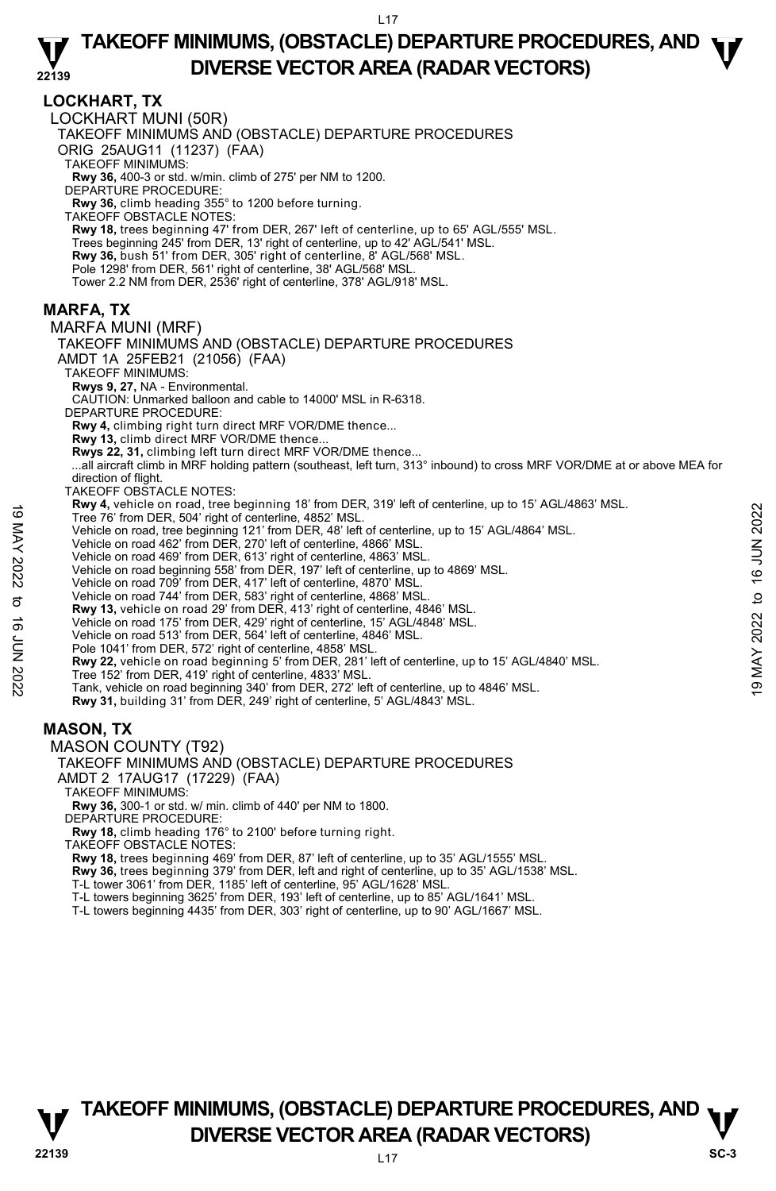### **LOCKHART, TX**

LOCKHART MUNI (50R) TAKEOFF MINIMUMS AND (OBSTACLE) DEPARTURE PROCEDURES ORIG 25AUG11 (11237) (FAA) TAKEOFF MINIMUMS: **Rwy 36,** 400-3 or std. w/min. climb of 275' per NM to 1200. DEPARTURE PROCEDURE: **Rwy 36,** climb heading 355° to 1200 before turning. TAKEOFF OBSTACLE NOTES: **Rwy 18,** trees beginning 47' from DER, 267' left of centerline, up to 65' AGL/555' MSL. Trees beginning 245' from DER, 13' right of centerline, up to 42' AGL/541' MSL. **Rwy 36,** bush 51' from DER, 305' right of centerline, 8' AGL/568' MSL. Pole 1298' from DER, 561' right of centerline, 38' AGL/568' MSL. Tower 2.2 NM from DER, 2536' right of centerline, 378' AGL/918' MSL. **MARFA, TX**  MARFA MUNI (MRF) TAKEOFF MINIMUMS AND (OBSTACLE) DEPARTURE PROCEDURES AMDT 1A 25FEB21 (21056) (FAA) TAKEOFF MINIMUMS: **Rwys 9, 27,** NA - Environmental. CAUTION: Unmarked balloon and cable to 14000' MSL in R-6318. DEPARTURE PROCEDURE: **Rwy 4,** climbing right turn direct MRF VOR/DME thence... **Rwy 13,** climb direct MRF VOR/DME thence... **Rwys 22, 31,** climbing left turn direct MRF VOR/DME thence... ...all aircraft climb in MRF holding pattern (southeast, left turn, 313° inbound) to cross MRF VOR/DME at or above MEA for direction of flight. TAKEOFF OBSTACLE NOTES: **Rwy 4,** vehicle on road, tree beginning 18' from DER, 319' left of centerline, up to 15' AGL/4863' MSL. Tree 76' from DER, 504' right of centerline, 4852' MSL. Vehicle on road, tree beginning 121' from DER, 48' left of centerline, up to 15' AGL/4864' MSL. Vehicle on road 462' from DER, 270' left of centerline, 4866' MSL. Vehicle on road 469' from DER, 613' right of centerline, 4863' MSL. Vehicle on road beginning 558' from DER, 197' left of centerline, up to 4869' MSL. Vehicle on road 709' from DER, 417' left of centerline, 4870' MSL. Vehicle on road 744' from DER, 583' right of centerline, 4868' MSL. **Rwy 13,** vehicle on road 29' from DER, 413' right of centerline, 4846' MSL. Vehicle on road 175' from DER, 429' right of centerline, 15' AGL/4848' MSL. Vehicle on road 513' from DER, 564' left of centerline, 4846' MSL. Pole 1041' from DER, 572' right of centerline, 4858' MSL. **Rwy 22,** vehicle on road beginning 5' from DER, 281' left of centerline, up to 15' AGL/4840' MSL. Tree 152' from DER, 419' right of centerline, 4833' MSL. Tank, vehicle on road beginning 340' from DER, 272' left of centerline, up to 4846' MSL. **Rwy 31,** building 31' from DER, 249' right of centerline, 5' AGL/4843' MSL. **MASON, TX**  MASON COUNTY (T92) TAKEOFF MINIMUMS AND (OBSTACLE) DEPARTURE PROCEDURES AMDT 2 17AUG17 (17229) (FAA) TAKEOFF MINIMUMS: **Rwy 36,** 300-1 or std. w/ min. climb of 440' per NM to 1800. DEPARTURE PROCEDURE: **Rwy 18,** climb heading 176° to 2100' before turning right. Tree 76' from DER, 504' right of centerline, 4852' MSL.<br>
Vehicle on road, tree beginning 121' from DER, 48' left of centerline, up to 15' AGL/4864' MSL.<br>
Vehicle on road 462' from DER, 613' right of centerline, 4866' MSL.

TAKEOFF OBSTACLE NOTES:

**Rwy 18,** trees beginning 469' from DER, 87' left of centerline, up to 35' AGL/1555' MSL.

**Rwy 36,** trees beginning 379' from DER, left and right of centerline, up to 35' AGL/1538' MSL.

T-L tower 3061' from DER, 1185' left of centerline, 95' AGL/1628' MSL.

T-L towers beginning 3625' from DER, 193' left of centerline, up to 85' AGL/1641' MSL.<br>T-L towers beginning 4435' from DER, 303' right of centerline, up to 90' AGL/1667' MSL.

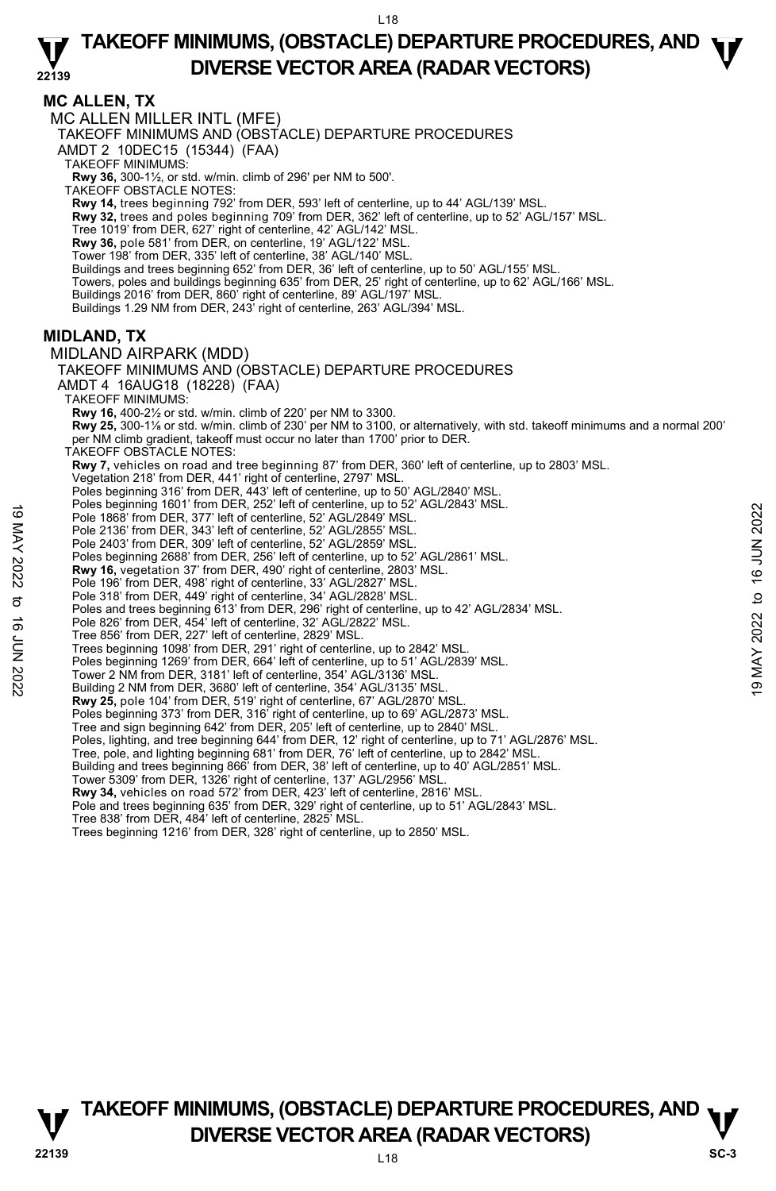**MC ALLEN, TX** 

MC ALLEN MILLER INTL (MFE)

TAKEOFF MINIMUMS AND (OBSTACLE) DEPARTURE PROCEDURES

AMDT 2 10DEC15 (15344) (FAA)

TAKEOFF MINIMUMS:

**Rwy 36,** 300-1½, or std. w/min. climb of 296' per NM to 500'. TAKEOFF OBSTACLE NOTES:

**Rwy 14,** trees beginning 792' from DER, 593' left of centerline, up to 44' AGL/139' MSL.

**Rwy 32,** trees and poles beginning 709' from DER, 362' left of centerline, up to 52' AGL/157' MSL.

Tree 1019' from DER, 627' right of centerline, 42' AGL/142' MSL. **Rwy 36,** pole 581' from DER, on centerline, 19' AGL/122' MSL.

Tower 198' from DER, 335' left of centerline, 38' AGL/140' MSL.

Buildings and trees beginning 652' from DER, 36' left of centerline, up to 50' AGL/155' MSL.

Towers, poles and buildings beginning 635' from DER, 25' right of centerline, up to 62' AGL/166' MSL.

Buildings 2016' from DER, 860' right of centerline, 89' AGL/197' MSL.

Buildings 1.29 NM from DER, 243' right of centerline, 263' AGL/394' MSL.

### **MIDLAND, TX**

MIDLAND AIRPARK (MDD) TAKEOFF MINIMUMS AND (OBSTACLE) DEPARTURE PROCEDURES AMDT 4 16AUG18 (18228) (FAA) TAKEOFF MINIMUMS: **Rwy 16,** 400-2½ or std. w/min. climb of 220' per NM to 3300. **Rwy 25,** 300-1⅛ or std. w/min. climb of 230' per NM to 3100, or alternatively, with std. takeoff minimums and a normal 200' per NM climb gradient, takeoff must occur no later than 1700' prior to DER. TAKEOFF OBSTACLE NOTES: **Rwy 7,** vehicles on road and tree beginning 87' from DER, 360' left of centerline, up to 2803' MSL. Vegetation 218' from DER, 441' right of centerline, 2797' MSL. Poles beginning 316' from DER, 443' left of centerline, up to 50' AGL/2840' MSL Poles beginning 1601' from DER, 252' left of centerline, up to 52' AGL/2843' MSL. Pole 1868' from DER, 377' left of centerline, 52' AGL/2849' MSL. Pole 2136' from DER, 343' left of centerline, 52' AGL/2855' MSL. Pole 2403' from DER, 309' left of centerline, 52' AGL/2859' MSL. Poles beginning 2688' from DER, 256' left of centerline, up to 52' AGL/2861' MSL. **Rwy 16,** vegetation 37' from DER, 490' right of centerline, 2803' MSL. Pole 196' from DER, 498' right of centerline, 33' AGL/2827' MSL. Pole 318' from DER, 449' right of centerline, 34' AGL/2828' MSL. Poles and trees beginning 613' from DER, 296' right of centerline, up to 42' AGL/2834' MSL. Pole 826' from DER, 454' left of centerline, 32' AGL/2822' MSL. Tree 856' from DER, 227' left of centerline, 2829' MSL. Pole 1868 'from DER, 377' left of centerline, 52' AGL/2849' MSL.<br>
Pole 1868 from DER, 377' left of centerline, 52' AGL/2855' MSL.<br>
Pole 2136' from DER, 303' left of centerline, 52' AGL/2855' MSL.<br>
Pole 2136' from DER, 309

Trees beginning 1098' from DER, 291' right of centerline, up to 2842' MSL.

Poles beginning 1269' from DER, 664' left of centerline, up to 51' AGL/2839' MSL.

Tower 2 NM from DER, 3181' left of centerline, 354' AGL/3136' MSL.

Building 2 NM from DER, 3680' left of centerline, 354' AGL/3135' MSL.

**Rwy 25,** pole 104' from DER, 519' right of centerline, 67' AGL/2870' MSL.

Poles beginning 373' from DER, 316' right of centerline, up to 69' AGL/2873' MSL. Tree and sign beginning 642' from DER, 205' left of centerline, up to 2840' MSL.

Poles, lighting, and tree beginning 644' from DER, 12' right of centerline, up to 71' AGL/2876' MSL.

Tree, pole, and lighting beginning 681' from DER, 76' left of centerline, up to 2842' MSL.

Building and trees beginning 866' from DER, 38' left of centerline, up to 40' AGL/2851' MSL. Tower 5309' from DER, 1326' right of centerline, 137' AGL/2956' MSL.

**Rwy 34,** vehicles on road 572' from DER, 423' left of centerline, 2816' MSL.

Pole and trees beginning 635' from DER, 329' right of centerline, up to 51' AGL/2843' MSL. Tree 838' from DER, 484' left of centerline, 2825' MSL.

Trees beginning 1216' from DER, 328' right of centerline, up to 2850' MSL.



**TAKEOFF MINIMUMS, (OBSTACLE) DEPARTURE PROCEDURES, AND**  $\nabla$ **<br>DIVERSE VECTOR AREA (RADAR VECTORS) DIVERSE VECTOR AREA (RADAR VECTORS)** SC-3

**22139** L18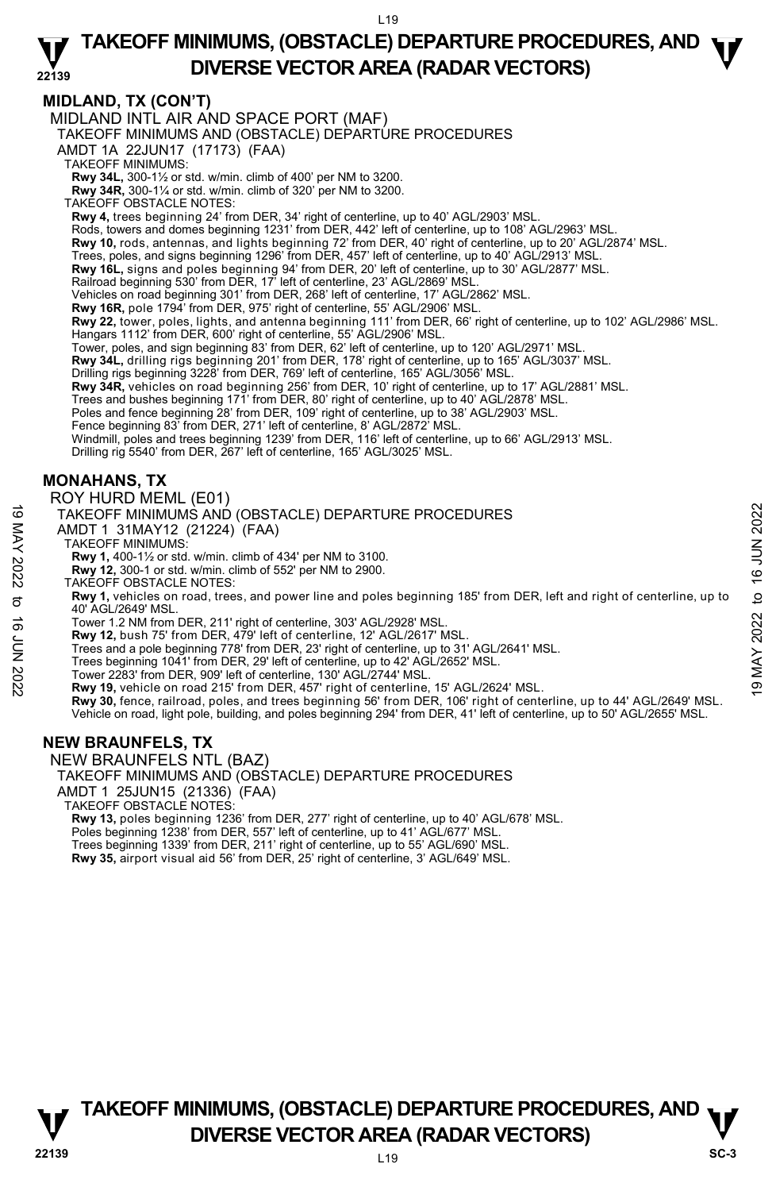### **22139 TAKEOFF MINIMUMS, (OBSTACLE) DEPARTURE PROCEDURES, AND**  $\Psi$ **DIVERSE VECTOR AREA (RADAR VECTORS)**

### **MIDLAND, TX (CON'T)**

MIDLAND INTL AIR AND SPACE PORT (MAF)

TAKEOFF MINIMUMS AND (OBSTACLE) DEPARTURE PROCEDURES

AMDT 1A 22JUN17 (17173) (FAA)

TAKEOFF MINIMUMS:

**Rwy 34L,** 300-1½ or std. w/min. climb of 400' per NM to 3200. **Rwy 34R,** 300-1¼ or std. w/min. climb of 320' per NM to 3200.

TAKEOFF OBSTACLE NOTES:

**Rwy 4,** trees beginning 24' from DER, 34' right of centerline, up to 40' AGL/2903' MSL.

Rods, towers and domes beginning 1231' from DER, 442' left of centerline, up to 108' AGL/2963' MSL.

**Rwy 10,** rods, antennas, and lights beginning 72' from DER, 40' right of centerline, up to 20' AGL/2874' MSL.

Trees, poles, and signs beginning 1296' from DER, 457' left of centerline, up to 40' AGL/2913' MSL.

**Rwy 16L,** signs and poles beginning 94' from DER, 20' left of centerline, up to 30' AGL/2877' MSL.<br>Railroad beginning 530' from DER, 17' left of centerline, 23' AGL/2869' MSL.

Vehicles on road beginning 301' from DER, 268' left of centerline, 17' AGL/2862' MSL.

**Rwy 16R,** pole 1794' from DER, 975' right of centerline, 55' AGL/2906' MSL.<br>**Rwy 22,** tower, poles, lights, and antenna beginning 111' from DER, 66' right of centerline, up to 102' AGL/2986' MSL.

Hangars 1112' from DER, 600' right of centerline, 55' AGL/2906' MSL.

Tower, poles, and sign beginning 83' from DER, 62' left of centerline, up to 120' AGL/2971' MSL.

**Rwy 34L,** drilling rigs beginning 201' from DER, 178' right of centerline, up to 165' AGL/3037' MSL.<br>Drilling rigs beginning 3228' from DER, 769' left of centerline, 165' AGL/3056' MSL.

**Rwy 34R,** vehicles on road beginning 256' from DER, 10' right of centerline, up to 17' AGL/2881' MSL.

Trees and bushes beginning 171' from DER, 80' right of centerline, up to 40' AGL/2878' MSL. Poles and fence beginning 28' from DER, 109' right of centerline, up to 38' AGL/2903' MSL.

Fence beginning 83' from DER, 271' left of centerline, 8' AGL/2872' MSL.

Windmill, poles and trees beginning 1239' from DER, 116' left of centerline, up to 66' AGL/2913' MSL.

Drilling rig 5540' from DER, 267' left of centerline, 165' AGL/3025' MSL.

### **MONAHANS, TX**

### ROY HURD MEML (E01)

TAKEOFF MINIMUMS AND (OBSTACLE) DEPARTURE PROCEDURES

AMDT 1 31MAY12 (21224) (FAA)

TAKEOFF MINIMUMS:

**Rwy 1,** 400-1½ or std. w/min. climb of 434' per NM to 3100.

**Rwy 12,** 300-1 or std. w/min. climb of 552' per NM to 2900.

TAKEOFF OBSTACLE NOTES:

**Rwy 1,** vehicles on road, trees, and power line and poles beginning 185' from DER, left and right of centerline, up to 40' AGL/2649' MSL. TAKEOFF MINIMUMS AND (OBSTACLE) DEPARTURE PROCEDURES<br>
AMDT 1 31MAY12 (21224) (FAA)<br>
TAKEOFF MINIMUMS:<br>
TAKEOFF MINIMUMS:<br>
NO TAKEOFF MINIMUMS:<br>
NO TAKEOFF OBSTACLE NOTES:<br>
NO TAKEOFF OBSTACLE NOTES:<br>
TAKEOFF OBSTACLE NOTE

Tower 1.2 NM from DER, 211' right of centerline, 303' AGL/2928' MSL. **Rwy 12,** bush 75' from DER, 479' left of centerline, 12' AGL/2617' MSL.

Trees and a pole beginning 778' from DER, 23' right of centerline, up to 31' AGL/2641' MSL.

Trees beginning 1041' from DER, 29' left of centerline, up to 42' AGL/2652' MSL.

Tower 2283' from DER, 909' left of centerline, 130' AGL/2744' MSL. **Rwy 19,** vehicle on road 215' from DER, 457' right of centerline, 15' AGL/2624' MSL.

**Rwy 30,** fence, railroad, poles, and trees beginning 56' from DER, 106' right of centerline, up to 44' AGL/2649' MSL. Vehicle on road, light pole, building, and poles beginning 294' from DER, 41' left of centerline, up to 50' AGL/2655' MSL.

### **NEW BRAUNFELS, TX**

NEW BRAUNFELS NTL (BAZ) TAKEOFF MINIMUMS AND (OBSTACLE) DEPARTURE PROCEDURES AMDT 1 25JUN15 (21336) (FAA) TAKEOFF OBSTACLE NOTES: **Rwy 13,** poles beginning 1236' from DER, 277' right of centerline, up to 40' AGL/678' MSL. Poles beginning 1238' from DER, 557' left of centerline, up to 41' AGL/677' MSL.<br>Trees beginning 1339' from DER, 211' right of centerline, up to 55' AGL/690' MSL.<br>**Rwy 35,** airport visual aid 56' from DER, 25' right of cen

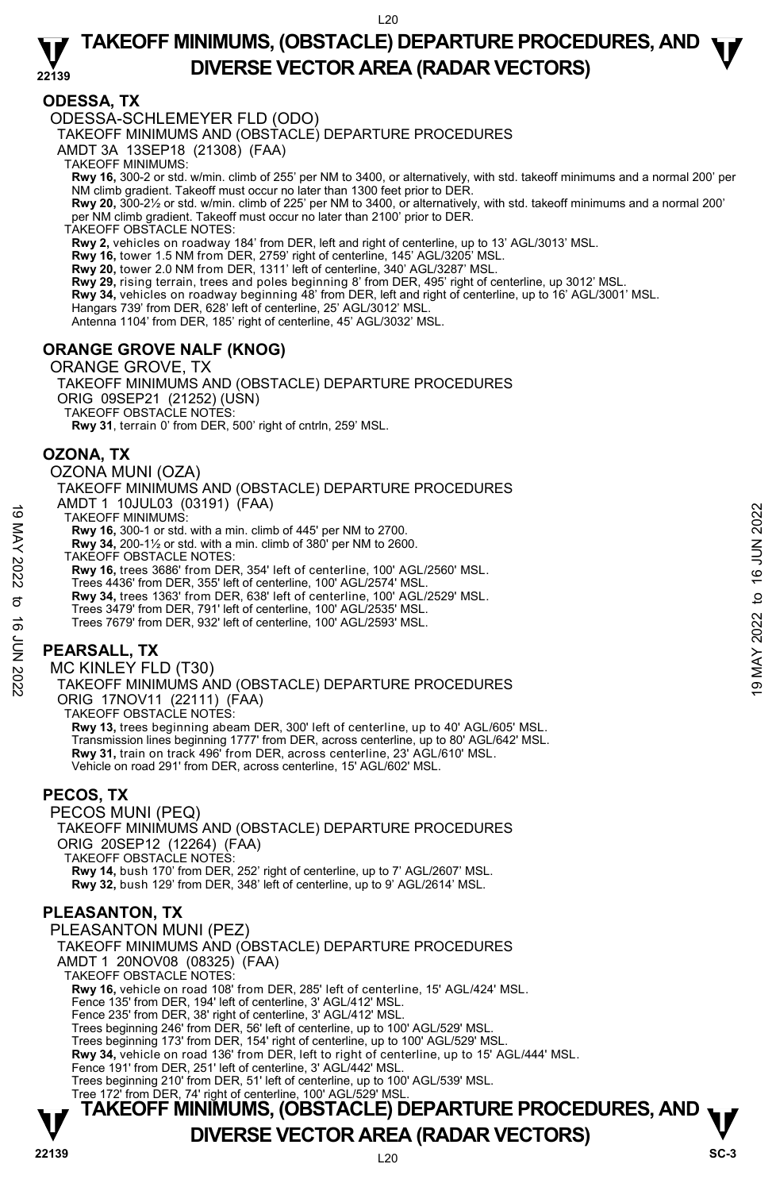### **22139 TAKEOFF MINIMUMS, (OBSTACLE) DEPARTURE PROCEDURES, AND**  $\Psi$ **DIVERSE VECTOR AREA (RADAR VECTORS)**

### **ODESSA, TX**

### ODESSA-SCHLEMEYER FLD (ODO)

TAKEOFF MINIMUMS AND (OBSTACLE) DEPARTURE PROCEDURES

AMDT 3A 13SEP18 (21308) (FAA)

TAKEOFF MINIMUMS:

**Rwy 16,** 300-2 or std. w/min. climb of 255' per NM to 3400, or alternatively, with std. takeoff minimums and a normal 200' per<br>NM climb gradient. Takeoff must occur no later than 1300 feet prior to DER.

**Rwy 20,** 300-2½ or std. w/min. climb of 225' per NM to 3400, or alternatively, with std. takeoff minimums and a normal 200' per NM climb gradient. Takeoff must occur no later than 2100' prior to DER.

TAKEOFF OBSTACLE NOTES:

**Rwy 2,** vehicles on roadway 184' from DER, left and right of centerline, up to 13' AGL/3013' MSL.

**Rwy 16,** tower 1.5 NM from DER, 2759' right of centerline, 145' AGL/3205' MSL.

**Rwy 20,** tower 2.0 NM from DER, 1311' left of centerline, 340' AGL/3287' MSL.

**Rwy 29,** rising terrain, trees and poles beginning 8' from DER, 495' right of centerline, up 3012' MSL.

**Rwy 34,** vehicles on roadway beginning 48' from DER, left and right of centerline, up to 16' AGL/3001' MSL.

Hangars 739' from DER, 628' left of centerline, 25' AGL/3012' MSL.

Antenna 1104' from DER, 185' right of centerline, 45' AGL/3032' MSL.

### **ORANGE GROVE NALF (KNOG)**

#### ORANGE GROVE, TX

TAKEOFF MINIMUMS AND (OBSTACLE) DEPARTURE PROCEDURES ORIG 09SEP21 (21252) (USN) TAKEOFF OBSTACLE NOTES: **Rwy 31**, terrain 0' from DER, 500' right of cntrln, 259' MSL.

**OZONA, TX** 

OZONA MUNI (OZA)

TAKEOFF MINIMUMS AND (OBSTACLE) DEPARTURE PROCEDURES AMDT 1 10JUL03 (03191) (FAA)

TAKEOFF MINIMUMS:

**Rwy 16,** 300-1 or std. with a min. climb of 445' per NM to 2700.

**Rwy 34,** 200-1½ or std. with a min. climb of 380' per NM to 2600.

TAKEOFF OBSTACLE NOTES:

**Rwy 16,** trees 3686' from DER, 354' left of centerline, 100' AGL/2560' MSL.

Trees 4436' from DER, 355' left of centerline, 100' AGL/2574' MSL. **Rwy 34,** trees 1363' from DER, 638' left of centerline, 100' AGL/2529' MSL.

Trees 3479' from DER, 791' left of centerline, 100' AGL/2535' MSL.

Trees 7679' from DER, 932' left of centerline, 100' AGL/2593' MSL.

### **PEARSALL, TX**

MC KINLEY FLD (T30) TAKEOFF MINIMUMS AND (OBSTACLE) DEPARTURE PROCEDURES ORIG 17NOV11 (22111) (FAA) TAKEOFF OBSTACLE NOTES: **Rwy 13,** trees beginning abeam DER, 300' left of centerline, up to 40' AGL/605' MSL. Transmission lines beginning 1777' from DER, across centerline, up to 80' AGL/642' MSL. TAKEOFF MINIMUMS:<br>
TAKEOFF MINIMUMS:<br>
Rwy 16, 300-1 or std. with a min. climb of 445' per NM to 2700.<br>
Rwy 16, 300-1% or std. with a min. climb of 380' per NM to 2600.<br>
TAKEOFF OBSTACLE NOTES:<br>
TAKEOFF OBSTACLE NOTES:<br>
Rw

**Rwy 31,** train on track 496' from DER, across centerline, 23' AGL/610' MSL. Vehicle on road 291' from DER, across centerline, 15' AGL/602' MSL.

### **PECOS, TX**

PECOS MUNI (PEQ) TAKEOFF MINIMUMS AND (OBSTACLE) DEPARTURE PROCEDURES ORIG 20SEP12 (12264) (FAA) TAKEOFF OBSTACLE NOTES: **Rwy 14,** bush 170' from DER, 252' right of centerline, up to 7' AGL/2607' MSL. **Rwy 32,** bush 129' from DER, 348' left of centerline, up to 9' AGL/2614' MSL.

### **PLEASANTON, TX**

PLEASANTON MUNI (PEZ) TAKEOFF MINIMUMS AND (OBSTACLE) DEPARTURE PROCEDURES AMDT 1 20NOV08 (08325) (FAA) TAKEOFF OBSTACLE NOTES: **Rwy 16,** vehicle on road 108' from DER, 285' left of centerline, 15' AGL/424' MSL. Fence 135' from DER, 194' left of centerline, 3' AGL/412' MSL. Fence 235' from DER, 38' right of centerline, 3' AGL/412' MSL. Trees beginning 246' from DER, 56' left of centerline, up to 100' AGL/529' MSL. Trees beginning 173' from DER, 154' right of centerline, up to 100' AGL/529' MSL. **Rwy 34,** vehicle on road 136' from DER, left to right of centerline, up to 15' AGL/444' MSL. Fence 191' from DER, 251' left of centerline, 3' AGL/442' MSL. Trees beginning 210' from DER, 51' left of centerline, up to 100' AGL/539' MSL. Tree 172' from DER, 74' right of centerline, 100' AGL/529' MSL.

# **TAKEOFF MINIMUMS, (OBSTACLE) DEPARTURE PROCEDURES, AND**  $\mathbf{\nabla}$ **DIVERSE VECTOR AREA (RADAR VECTORS)** SC-3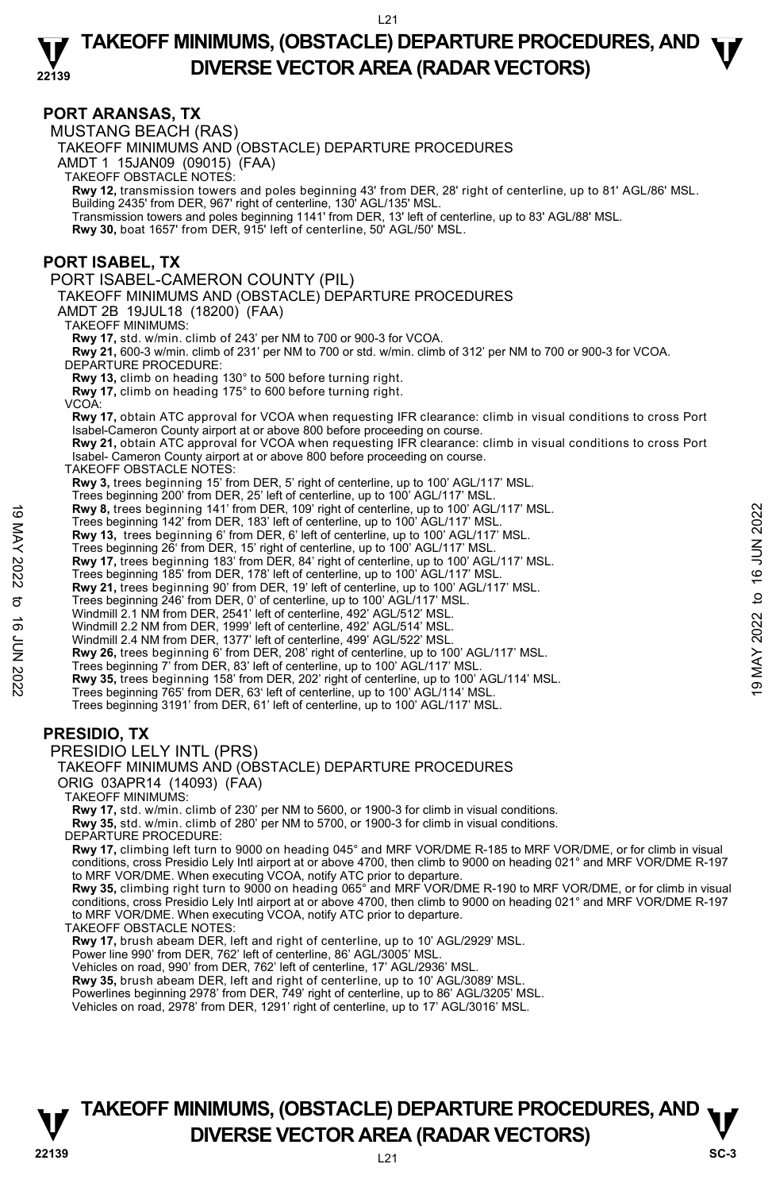### **22139 TAKEOFF MINIMUMS, (OBSTACLE) DEPARTURE PROCEDURES, AND**  $\Psi$ **DIVERSE VECTOR AREA (RADAR VECTORS)**

### **PORT ARANSAS, TX**

MUSTANG BEACH (RAS) TAKEOFF MINIMUMS AND (OBSTACLE) DEPARTURE PROCEDURES AMDT 1 15JAN09 (09015) (FAA) TAKEOFF OBSTACLE NOTES: **Rwy 12,** transmission towers and poles beginning 43' from DER, 28' right of centerline, up to 81' AGL/86' MSL. Building 2435' from DER, 967' right of centerline, 130' AGL/135' MSL. Transmission towers and poles beginning 1141' from DER, 13' left of centerline, up to 83' AGL/88' MSL. **Rwy 30,** boat 1657' from DER, 915' left of centerline, 50' AGL/50' MSL. **PORT ISABEL, TX**  PORT ISABEL-CAMERON COUNTY (PIL) TAKEOFF MINIMUMS AND (OBSTACLE) DEPARTURE PROCEDURES AMDT 2B 19JUL18 (18200) (FAA) TAKEOFF MINIMUMS: **Rwy 17,** std. w/min. climb of 243' per NM to 700 or 900-3 for VCOA. **Rwy 21,** 600-3 w/min. climb of 231' per NM to 700 or std. w/min. climb of 312' per NM to 700 or 900-3 for VCOA. DEPARTURE PROCEDURE: **Rwy 13,** climb on heading 130° to 500 before turning right. **Rwy 17,** climb on heading 175° to 600 before turning right. VCOA: **Rwy 17,** obtain ATC approval for VCOA when requesting IFR clearance: climb in visual conditions to cross Port Isabel-Cameron County airport at or above 800 before proceeding on course. **Rwy 21,** obtain ATC approval for VCOA when requesting IFR clearance: climb in visual conditions to cross Port Isabel- Cameron County airport at or above 800 before proceeding on course. TAKEOFF OBSTACLE NOTES: **Rwy 3,** trees beginning 15' from DER, 5' right of centerline, up to 100' AGL/117' MSL. Trees beginning 200' from DER, 25' left of centerline, up to 100' AGL/117' MSL. **Rwy 8,** trees beginning 141' from DER, 109' right of centerline, up to 100' AGL/117' MSL. Trees beginning 142' from DER, 183' left of centerline, up to 100' AGL/117' MSL. **Rwy 13,** trees beginning 6' from DER, 6' left of centerline, up to 100' AGL/117' MSL. Trees beginning 26' from DER, 15' right of centerline, up to 100' AGL/117' MSL. **Rwy 17,** trees beginning 183' from DER, 84' right of centerline, up to 100' AGL/117' MSL. Trees beginning 185' from DER, 178' left of centerline, up to 100' AGL/117' MSL. **Rwy 21,** trees beginning 90' from DER, 19' left of centerline, up to 100' AGL/117' MSL.<br>Trees beginning 246' from DER, 0' of centerline, up to 100' AGL/117' MSL. Windmill 2.1 NM from DER, 2541' left of centerline, 492' AGL/512' MSL. Windmill 2.2 NM from DER, 1999' left of centerline, 492' AGL/514' MSL. Windmill 2.4 NM from DER, 1377' left of centerline, 499' AGL/522' MSL. **Rwy 26,** trees beginning 6' from DER, 208' right of centerline, up to 100' AGL/117' MSL. Trees beginning 7' from DER, 83' left of centerline, up to 100' AGL/117' MSL. **Rwy 35,** trees beginning 158' from DER, 202' right of centerline, up to 100' AGL/114' MSL. Trees beginning 765' from DER, 63' left of centerline, up to 100' AGL/114' MSL. Trees beginning 3191' from DER, 61' left of centerline, up to 100' AGL/117' MSL. **PRESIDIO, TX**  PRESIDIO LELY INTL (PRS) TAKEOFF MINIMUMS AND (OBSTACLE) DEPARTURE PROCEDURES ORIG 03APR14 (14093) (FAA) TAKEOFF MINIMUMS: **Rwy 17,** std. w/min. climb of 230' per NM to 5600, or 1900-3 for climb in visual conditions. **Rwy 35,** std. w/min. climb of 280' per NM to 5700, or 1900-3 for climb in visual conditions. DEPARTURE PROCEDURE: **Rwy 17,** climbing left turn to 9000 on heading 045° and MRF VOR/DME R-185 to MRF VOR/DME, or for climb in visual<br>conditions, cross Presidio Lely Intl airport at or above 4700, then climb to 9000 on heading 021° and MRF VO to MRF VOR/DME. When executing VCOA, notify ATC prior to departure. **Rwy 35,** climbing right turn to 9000 on heading 065° and MRF VOR/DME R-190 to MRF VOR/DME, or for climb in visual<br>conditions, cross Presidio Lely Intl airport at or above 4700, then climb to 9000 on heading 021° and MRF V to MRF VOR/DME. When executing VCOA, notify ATC prior to departure. TAKEOFF OBSTACLE NOTES: **Rwy 17,** brush abeam DER, left and right of centerline, up to 10' AGL/2929' MSL. Power line 990' from DER, 762' left of centerline, 86' AGL/3005' MSL. Vehicles on road, 990' from DER, 762' left of centerline, 17' AGL/2936' MSL. **Rwy 35,** brush abeam DER, left and right of centerline, up to 10' AGL/3089' MSL.<br>Powerlines beginning 2978' from DER, 749' right of centerline, up to 86' AGL/3205' MSL. **EVALUATIES And The September 19 The Separation** (141' from DER, 109' right of centerline, up to 100' AGL/117' MSL.<br> **These beginning 142' from DER**, 16' and The Centerline, up to 100' AGL/117' MSL.<br> **EVALUATIES AND ART A** 

**22139** L21 **TAKEOFF MINIMUMS, (OBSTACLE) DEPARTURE PROCEDURES, AND**  $\nabla$ **<br>DIVERSE VECTOR AREA (RADAR VECTORS) DIVERSE VECTOR AREA (RADAR VECTORS)** SC-3

Vehicles on road, 2978' from DER, 1291' right of centerline, up to 17' AGL/3016' MSL.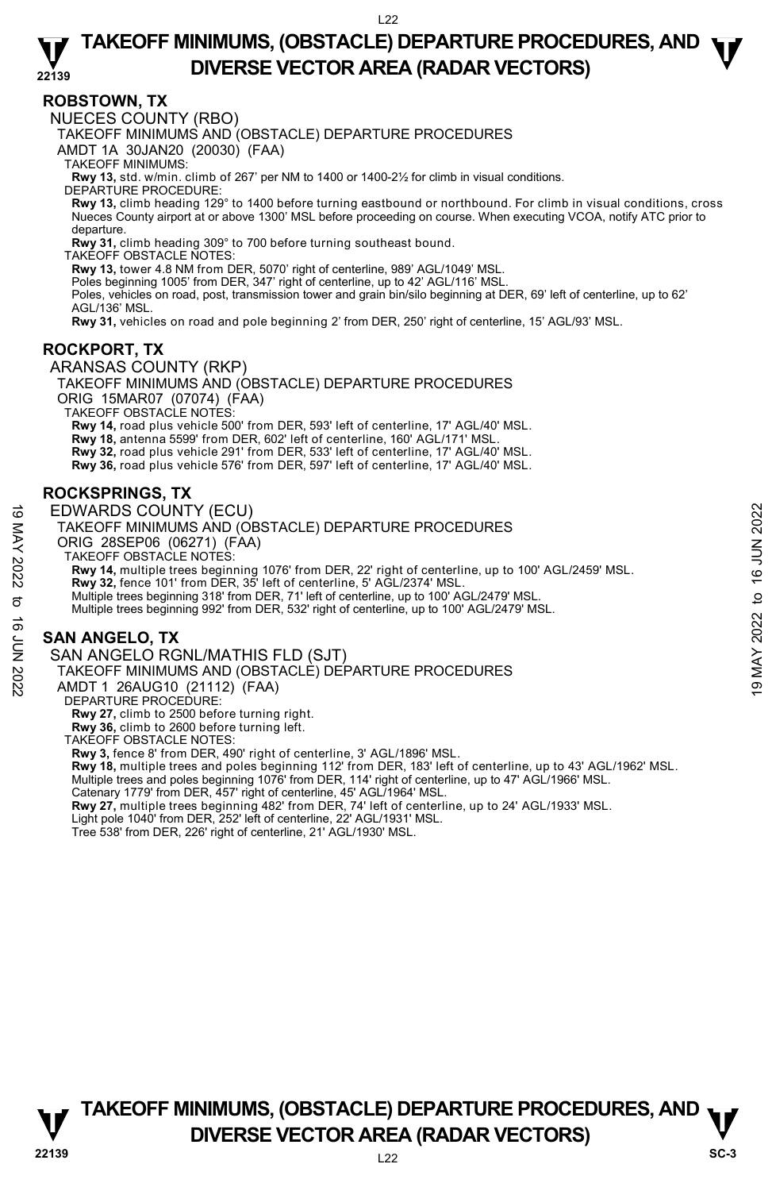### **22139 TAKEOFF MINIMUMS, (OBSTACLE) DEPARTURE PROCEDURES, AND**  $\Psi$ **DIVERSE VECTOR AREA (RADAR VECTORS)**

### **ROBSTOWN, TX**

NUECES COUNTY (RBO)

TAKEOFF MINIMUMS AND (OBSTACLE) DEPARTURE PROCEDURES

AMDT 1A 30JAN20 (20030) (FAA)

TAKEOFF MINIMUMS:

**Rwy 13,** std. w/min. climb of 267' per NM to 1400 or 1400-2½ for climb in visual conditions.

DEPARTURE PROCEDURE:

**Rwy 13,** climb heading 129° to 1400 before turning eastbound or northbound. For climb in visual conditions, cross Nueces County airport at or above 1300' MSL before proceeding on course. When executing VCOA, notify ATC prior to departure.

**Rwy 31,** climb heading 309° to 700 before turning southeast bound.

TAKEOFF OBSTACLE NOTES:

**Rwy 13,** tower 4.8 NM from DER, 5070' right of centerline, 989' AGL/1049' MSL.

Poles beginning 1005' from DER, 347' right of centerline, up to 42' AGL/116' MSL.

Poles, vehicles on road, post, transmission tower and grain bin/silo beginning at DER, 69' left of centerline, up to 62' AGL/136' MSL.

**Rwy 31,** vehicles on road and pole beginning 2' from DER, 250' right of centerline, 15' AGL/93' MSL.

### **ROCKPORT, TX**

ARANSAS COUNTY (RKP)

TAKEOFF MINIMUMS AND (OBSTACLE) DEPARTURE PROCEDURES ORIG 15MAR07 (07074) (FAA) TAKEOFF OBSTACLE NOTES:

**Rwy 14,** road plus vehicle 500' from DER, 593' left of centerline, 17' AGL/40' MSL.

**Rwy 18,** antenna 5599' from DER, 602' left of centerline, 160' AGL/171' MSL.

**Rwy 32,** road plus vehicle 291' from DER, 533' left of centerline, 17' AGL/40' MSL. **Rwy 36,** road plus vehicle 576' from DER, 597' left of centerline, 17' AGL/40' MSL.

# **ROCKSPRINGS, TX**

EDWARDS COUNTY (ECU)

TAKEOFF MINIMUMS AND (OBSTACLE) DEPARTURE PROCEDURES

ORIG 28SEP06 (06271) (FAA) TAKEOFF OBSTACLE NOTES:

**Rwy 14,** multiple trees beginning 1076' from DER, 22' right of centerline, up to 100' AGL/2459' MSL. EDWARDS COUNTY (ECU)<br>
TAKEOFF MINIMUMS AND (OBSTACLE) DEPARTURE PROCEDURES<br>
ORIG 28SEP06 (06271) (FAA)<br>
TAKEOFF OBSTACLE NOTES:<br>
TAKEOFF OBSTACLE NOTES:<br>
TAKEOFF OBSTACLE NOTES:<br>
TAKEOFF OBSTACLE NOTES:<br>
TAKEOFF OBSTACL

**Rwy 32,** fence 101' from DER, 35' left of centerline, 5' AGL/2374' MSL.

Multiple trees beginning 318' from DER, 71' left of centerline, up to 100' AGL/2479' MSL.

Multiple trees beginning 992' from DER, 532' right of centerline, up to 100' AGL/2479' MSL.

# **SAN ANGELO, TX**

SAN ANGELO RGNL/MATHIS FLD (SJT)

TAKEOFF MINIMUMS AND (OBSTACLE) DEPARTURE PROCEDURES

AMDT 1 26AUG10 (21112) (FAA)

DEPARTURE PROCEDURE:

**Rwy 27,** climb to 2500 before turning right.

**Rwy 36,** climb to 2600 before turning left.

TAKEOFF OBSTACLE NOTES:

**Rwy 3,** fence 8' from DER, 490' right of centerline, 3' AGL/1896' MSL.

**Rwy 18,** multiple trees and poles beginning 112' from DER, 183' left of centerline, up to 43' AGL/1962' MSL.<br>Multiple trees and poles beginning 1076' from DER, 114' right of centerline, up to 47' AGL/1966' MSL.

Catenary 1779' from DER, 457' right of centerline, 45' AGL/1964' MSL.

**Rwy 27,** multiple trees beginning 482' from DER, 74' left of centerline, up to 24' AGL/1933' MSL.<br>Light pole 1040' from DER, 252' left of centerline, 22' AGL/1931' MSL.

Tree 538' from DER, 226' right of centerline, 21' AGL/1930' MSL.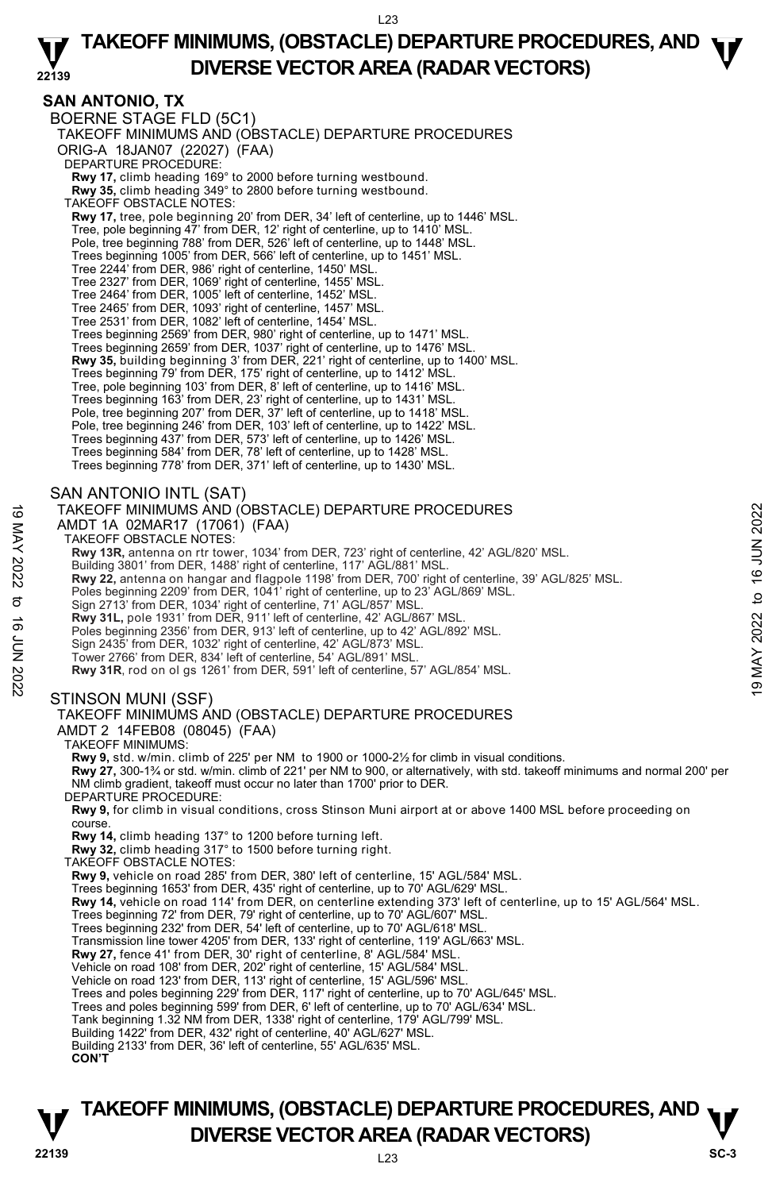### **22139 TAKEOFF MINIMUMS, (OBSTACLE) DEPARTURE PROCEDURES, AND**  $\Psi$ **DIVERSE VECTOR AREA (RADAR VECTORS)**

### **SAN ANTONIO, TX**

BOERNE STAGE FLD (5C1) TAKEOFF MINIMUMS AND (OBSTACLE) DEPARTURE PROCEDURES ORIG-A 18JAN07 (22027) (FAA) DEPARTURE PROCEDURE: **Rwy 17,** climb heading 169° to 2000 before turning westbound. **Rwy 35,** climb heading 349° to 2800 before turning westbound. TAKEOFF OBSTACLE NOTES: **Rwy 17,** tree, pole beginning 20' from DER, 34' left of centerline, up to 1446' MSL. Tree, pole beginning 47' from DER, 12' right of centerline, up to 1410' MSL. Pole, tree beginning 788' from DER, 526' left of centerline, up to 1448' MSL. Trees beginning 1005' from DER, 566' left of centerline, up to 1451' MSL. Tree 2244' from DER, 986' right of centerline, 1450' MSL. Tree 2327' from DER, 1069' right of centerline, 1455' MSL. Tree 2464' from DER, 1005' left of centerline, 1452' MSL. Tree 2465' from DER, 1093' right of centerline, 1457' MSL. Tree 2531' from DER, 1082' left of centerline, 1454' MSL. Trees beginning 2569' from DER, 980' right of centerline, up to 1471' MSL. Trees beginning 2659' from DER, 1037' right of centerline, up to 1476' MSL. **Rwy 35,** building beginning 3' from DER, 221' right of centerline, up to 1400' MSL.<br>Trees beginning 79' from DER, 175' right of centerline, up to 1412' MSL. Tree, pole beginning 103' from DER, 8' left of centerline, up to 1416' MSL. Trees beginning 163' from DER, 23' right of centerline, up to 1431' MSL. Pole, tree beginning 207' from DER, 37' left of centerline, up to 1418' MSL. Pole, tree beginning 246' from DER, 103' left of centerline, up to 1422' MSL. Trees beginning 437' from DER, 573' left of centerline, up to 1426' MSL. Trees beginning 584' from DER, 78' left of centerline, up to 1428' MSL. Trees beginning 778' from DER, 371' left of centerline, up to 1430' MSL. SAN ANTONIO INTL (SAT) TAKEOFF MINIMUMS AND (OBSTACLE) DEPARTURE PROCEDURES AMDT 1A 02MAR17 (17061) (FAA) TAKEOFF OBSTACLE NOTES: **Rwy 13R,** antenna on rtr tower, 1034' from DER, 723' right of centerline, 42' AGL/820' MSL. Building 3801' from DER, 1488' right of centerline, 117' AGL/881' MSL. **Rwy 22,** antenna on hangar and flagpole 1198' from DER, 700' right of centerline, 39' AGL/825' MSL.<br>Poles beginning 2209' from DER, 1041' right of centerline, up to 23' AGL/869' MSL. Sign 2713' from DER, 1034' right of centerline, 71' AGL/857' MSL. **Rwy 31L,** pole 1931' from DER, 911' left of centerline, 42' AGL/867' MSL. Poles beginning 2356' from DER, 913' left of centerline, up to 42' AGL/892' MSL. Sign 2435' from DER, 1032' right of centerline, 42' AGL/873' MSL. Tower 2766' from DER, 834' left of centerline, 54' AGL/891' MSL. **Rwy 31R**, rod on ol gs 1261' from DER, 591' left of centerline, 57' AGL/854' MSL. STINSON MUNI (SSF) TAKEOFF MINIMUMS AND (OBSTACLE) DEPARTURE PROCEDURES AMDT 2 14FEB08 (08045) (FAA) TAKEOFF MINIMUMS: **Rwy 9,** std. w/min. climb of 225' per NM to 1900 or 1000-2½ for climb in visual conditions. **Rwy 27,** 300-1¾ or std. w/min. climb of 221' per NM to 900, or alternatively, with std. takeoff minimums and normal 200' per NM climb gradient, takeoff must occur no later than 1700' prior to DER. DEPARTURE PROCEDURE: **Rwy 9,** for climb in visual conditions, cross Stinson Muni airport at or above 1400 MSL before proceeding on course. **Rwy 14,** climb heading 137° to 1200 before turning left. **Rwy 32,** climb heading 317° to 1500 before turning right. TAKEOFF OBSTACLE NOTES: **Rwy 9,** vehicle on road 285' from DER, 380' left of centerline, 15' AGL/584' MSL. Trees beginning 1653' from DER, 435' right of centerline, up to 70' AGL/629' MSL.<br>**Rwy 14,** vehicle on road 114' from DER, on centerline extending 373' left of centerline, up to 15' AGL/564' MSL. Trees beginning 72' from DER, 79' right of centerline, up to 70' AGL/607' MSL. Trees beginning 232' from DER, 54' left of centerline, up to 70' AGL/618' MSL. Transmission line tower 4205' from DER, 133' right of centerline, 119' AGL/663' MSL. **Rwy 27,** fence 41' from DER, 30' right of centerline, 8' AGL/584' MSL. Vehicle on road 108' from DER, 202' right of centerline, 15' AGL/584' MSL. Vehicle on road 123' from DER, 113' right of centerline, 15' AGL/596' MSL. Trees and poles beginning 229' from DER, 117' right of centerline, up to 70' AGL/645' MSL. Trees and poles beginning 599' from DER, 6' left of centerline, up to 70' AGL/634' MSL. Tank beginning 1.32 NM from DER, 1338' right of centerline, 179' AGL/799' MSL. Building 1422' from DER, 432' right of centerline, 40' AGL/627' MSL. Building 2133' from DER, 36' left of centerline, 55' AGL/635' MSL. **CON'T** TAKEOFF MINIMUMS AND (OBSTACLE) DEPARTURE PROCEDURES<br>
AMDT 1A 02MAR17 (17061) (FAA)<br>
TAKEOFF OBSTACLE NOTES:<br>
TAKEOFF OBSTACLE NOTES:<br>
Rwy 13R, antenna on rtr tower, 1034' from DER, 723' right of centerline, 42' AGL/820'

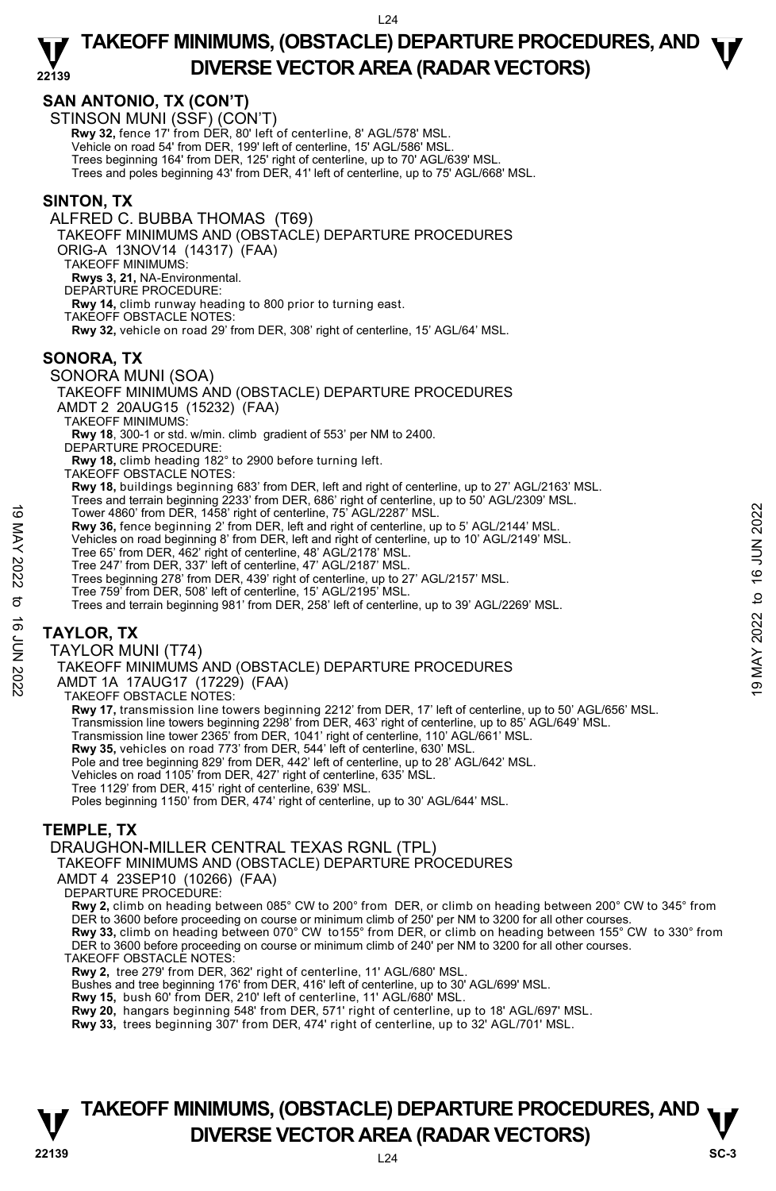### **22139 TAKEOFF MINIMUMS, (OBSTACLE) DEPARTURE PROCEDURES, AND**  $\Psi$ **DIVERSE VECTOR AREA (RADAR VECTORS)**

# **SAN ANTONIO, TX (CON'T)**

STINSON MUNI (SSF) (CON'T)

 **Rwy 32,** fence 17' from DER, 80' left of centerline, 8' AGL/578' MSL.

Vehicle on road 54' from DER, 199' left of centerline, 15' AGL/586' MSL.

Trees beginning 164' from DER, 125' right of centerline, up to 70' AGL/639' MSL.

Trees and poles beginning 43' from DER, 41' left of centerline, up to 75' AGL/668' MSL.

### **SINTON, TX**

ALFRED C. BUBBA THOMAS (T69) TAKEOFF MINIMUMS AND (OBSTACLE) DEPARTURE PROCEDURES ORIG-A 13NOV14 (14317) (FAA) TAKEOFF MINIMUMS: **Rwys 3, 21,** NA-Environmental. DEPARTURE PROCEDURE: **Rwy 14,** climb runway heading to 800 prior to turning east. TAKEOFF OBSTACLE NOTES: **Rwy 32,** vehicle on road 29' from DER, 308' right of centerline, 15' AGL/64' MSL. **SONORA, TX**  SONORA MUNI (SOA) TAKEOFF MINIMUMS AND (OBSTACLE) DEPARTURE PROCEDURES AMDT 2 20AUG15 (15232) (FAA) TAKEOFF MINIMUMS: **Rwy 18**, 300-1 or std. w/min. climb gradient of 553' per NM to 2400. DEPARTURE PROCEDURE **Rwy 18,** climb heading 182° to 2900 before turning left. TAKEOFF OBSTACLE NOTES: **Rwy 18,** buildings beginning 683' from DER, left and right of centerline, up to 27' AGL/2163' MSL. Trees and terrain beginning 2233' from DER, 686' right of centerline, up to 50' AGL/2309' MSL. Tower 4860' from DER, 1458' right of centerline, 75' AGL/2287' MSL. **Rwy 36,** fence beginning 2' from DER, left and right of centerline, up to 5' AGL/2144' MSL. Vehicles on road beginning 8' from DER, left and right of centerline, up to 10' AGL/2149' MSL. Tree 65' from DER, 462' right of centerline, 48' AGL/2178' MSL. Tree 247' from DER, 337' left of centerline, 47' AGL/2187' MSL. Trees beginning 278' from DER, 439' right of centerline, up to 27' AGL/2157' MSL. Tree 759' from DER, 508' left of centerline, 15' AGL/2195' MSL. Trees and terrain beginning 981' from DER, 258' left of centerline, up to 39' AGL/2269' MSL. **TAYLOR, TX**  TAYLOR MUNI (T74) TAKEOFF MINIMUMS AND (OBSTACLE) DEPARTURE PROCEDURES AMDT 1A 17AUG17 (17229) (FAA) TAKEOFF OBSTACLE NOTES: **Rwy 17,** transmission line towers beginning 2212' from DER, 17' left of centerline, up to 50' AGL/656' MSL. Transmission line towers beginning 2298' from DER, 463' right of centerline, up to 85' AGL/649' MSL.<br>Transmission line tower 2365' from DER, 1041' right of centerline, 110' AGL/661' MSL. Tower 4860' from DER, 1458' right of centerline, 75' AGL/2287' MSL.<br> **EVALUATE:** Note beginning 2' from DER, left and right of centerline, up to 10' AGL/2149' MSL.<br>
Yehicles on road beginning 8' from DER, left and right o

**Rwy 35,** vehicles on road 773' from DER, 544' left of centerline, 630' MSL.

Pole and tree beginning 829' from DER, 442' left of centerline, up to 28' AGL/642' MSL. Vehicles on road 1105' from DER, 427' right of centerline, 635' MSL.

Tree 1129' from DER, 415' right of centerline, 639' MSL.

Poles beginning 1150' from DER, 474' right of centerline, up to 30' AGL/644' MSL.

# **TEMPLE, TX**

DRAUGHON-MILLER CENTRAL TEXAS RGNL (TPL)

TAKEOFF MINIMUMS AND (OBSTACLE) DEPARTURE PROCEDURES

AMDT 4 23SEP10 (10266) (FAA)

DEPARTURE PROCEDURE:

**Rwy 2,** climb on heading between 085° CW to 200° from DER, or climb on heading between 200° CW to 345° from DER to 3600 before proceeding on course or minimum climb of 250' per NM to 3200 for all other courses.

**Rwy 33,** climb on heading between 070° CW to155° from DER, or climb on heading between 155° CW to 330° from DER to 3600 before proceeding on course or minimum climb of 240' per NM to 3200 for all other courses.

TAKEOFF OBSTACLE NOTES:

**Rwy 2,** tree 279' from DER, 362' right of centerline, 11' AGL/680' MSL.

Bushes and tree beginning 176' from DER, 416' left of centerline, up to 30' AGL/699' MSL.<br>**Rwy 15,** bush 60' from DER, 210' left of centerline, 11' AGL/680' MSL.

**Rwy 20,** hangars beginning 548' from DER, 571' right of centerline, up to 18' AGL/697' MSL.

**Rwy 33,** trees beginning 307' from DER, 474' right of centerline, up to 32' AGL/701' MSL.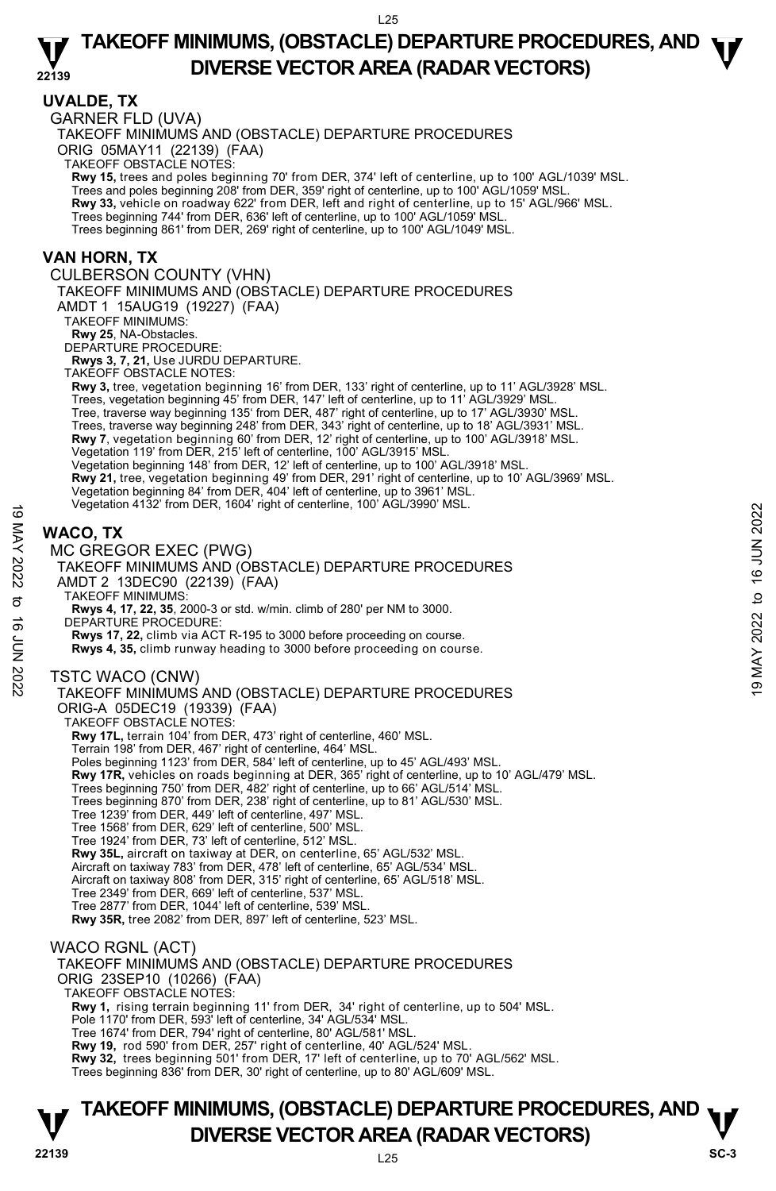#### **22139 UVALDE, TX**  GARNER FLD (UVA) TAKEOFF MINIMUMS AND (OBSTACLE) DEPARTURE PROCEDURES ORIG 05MAY11 (22139) (FAA) TAKEOFF OBSTACLE NOTES: **Rwy 15,** trees and poles beginning 70' from DER, 374' left of centerline, up to 100' AGL/1039' MSL. Trees and poles beginning 208' from DER, 359' right of centerline, up to 100' AGL/1059' MSL. **Rwy 33,** vehicle on roadway 622' from DER, left and right of centerline, up to 15' AGL/966' MSL. Trees beginning 744' from DER, 636' left of centerline, up to 100' AGL/1059' MSL. Trees beginning 861' from DER, 269' right of centerline, up to 100' AGL/1049' MSL. **VAN HORN, TX**  CULBERSON COUNTY (VHN) TAKEOFF MINIMUMS AND (OBSTACLE) DEPARTURE PROCEDURES AMDT 1 15AUG19 (19227) (FAA) TAKEOFF MINIMUMS: **Rwy 25**, NA-Obstacles. DEPARTURE PROCEDURE: **Rwys 3, 7, 21,** Use JURDU DEPARTURE. TAKEOFF OBSTACLE NOTES: **Rwy 3,** tree, vegetation beginning 16' from DER, 133' right of centerline, up to 11' AGL/3928' MSL. Trees, vegetation beginning 45' from DER, 147' left of centerline, up to 11' AGL/3929' MSL. Tree, traverse way beginning 135' from DER, 487' right of centerline, up to 17' AGL/3930' MSL. Trees, traverse way beginning 248' from DER, 343' right of centerline, up to 18' AGL/3931' MSL. **Rwy 7**, vegetation beginning 60' from DER, 12' right of centerline, up to 100' AGL/3918' MSL. Vegetation 119' from DER, 215' left of centerline, 100' AGL/3915' MSL. Vegetation beginning 148' from DER, 12' left of centerline, up to 100' AGL/3918' MSL. **Rwy 21,** tree, vegetation beginning 49' from DER, 291' right of centerline, up to 10' AGL/3969' MSL. Vegetation beginning 84' from DER, 404' left of centerline, up to 3961' MSL. Vegetation 4132' from DER, 1604' right of centerline, 100' AGL/3990' MSL. **WACO, TX**  MC GREGOR EXEC (PWG) TAKEOFF MINIMUMS AND (OBSTACLE) DEPARTURE PROCEDURES AMDT 2 13DEC90 (22139) (FAA) TAKEOFF MINIMUMS: **Rwys 4, 17, 22, 35**, 2000-3 or std. w/min. climb of 280' per NM to 3000. DEPARTURE PROCEDURE **Rwys 17, 22,** climb via ACT R-195 to 3000 before proceeding on course. **Rwys 4, 35,** climb runway heading to 3000 before proceeding on course. TSTC WACO (CNW) TAKEOFF MINIMUMS AND (OBSTACLE) DEPARTURE PROCEDURES ORIG-A 05DEC19 (19339) (FAA) TAKEOFF OBSTACLE NOTES: **Rwy 17L,** terrain 104' from DER, 473' right of centerline, 460' MSL. Terrain 198' from DER, 467' right of centerline, 464' MSL. Poles beginning 1123' from DER, 584' left of centerline, up to 45' AGL/493' MSL. **Rwy 17R,** vehicles on roads beginning at DER, 365' right of centerline, up to 10' AGL/479' MSL. Trees beginning 750' from DER, 482' right of centerline, up to 66' AGL/514' MSL. Trees beginning 870' from DER, 238' right of centerline, up to 81' AGL/530' MSL. Tree 1239' from DER, 449' left of centerline, 497' MSL. Tree 1568' from DER, 629' left of centerline, 500' MSL. Tree 1924' from DER, 73' left of centerline, 512' MSL. **Rwy 35L,** aircraft on taxiway at DER, on centerline, 65' AGL/532' MSL.<br>Aircraft on taxiway 783' from DER, 478' left of centerline, 65' AGL/534' MSL. Aircraft on taxiway 808' from DER, 315' right of centerline, 65' AGL/518' MSL. Tree 2349' from DER, 669' left of centerline, 537' MSL. Tree 2877' from DER, 1044' left of centerline, 539' MSL. **Rwy 35R,** tree 2082' from DER, 897' left of centerline, 523' MSL. WACO RGNL (ACT) TAKEOFF MINIMUMS AND (OBSTACLE) DEPARTURE PROCEDURES ORIG 23SEP10 (10266) (FAA) TAKEOFF OBSTACLE NOTES: **Rwy 1,** rising terrain beginning 11' from DER, 34' right of centerline, up to 504' MSL. Pole 1170' from DER, 593' left of centerline, 34' AGL/534' MSL. Tree 1674' from DER, 794' right of centerline, 80' AGL/581' MSL. **Rwy 19,** rod 590' from DER, 257' right of centerline, 40' AGL/524' MSL. Vegetation 4132 hom Derk, 1604 hight of centerine, 100 AGL/3990 MSL.<br>  $\frac{1}{2}$ <br> **WACO, TX**<br>  $\frac{1}{2}$ <br>
MC GREGOR EXEC (PWG)<br>
TAKEOFF MINIMUMS AND (OBSTACLE) DEPARTURE PROCEDURES<br>
AMDT 2 13DECSOLORE:<br>
TAKEOFF MINIMUMS:<br>
T

**Rwy 32,** trees beginning 501' from DER, 17' left of centerline, up to 70' AGL/562' MSL. Trees beginning 836' from DER, 30' right of centerline, up to 80' AGL/609' MSL.